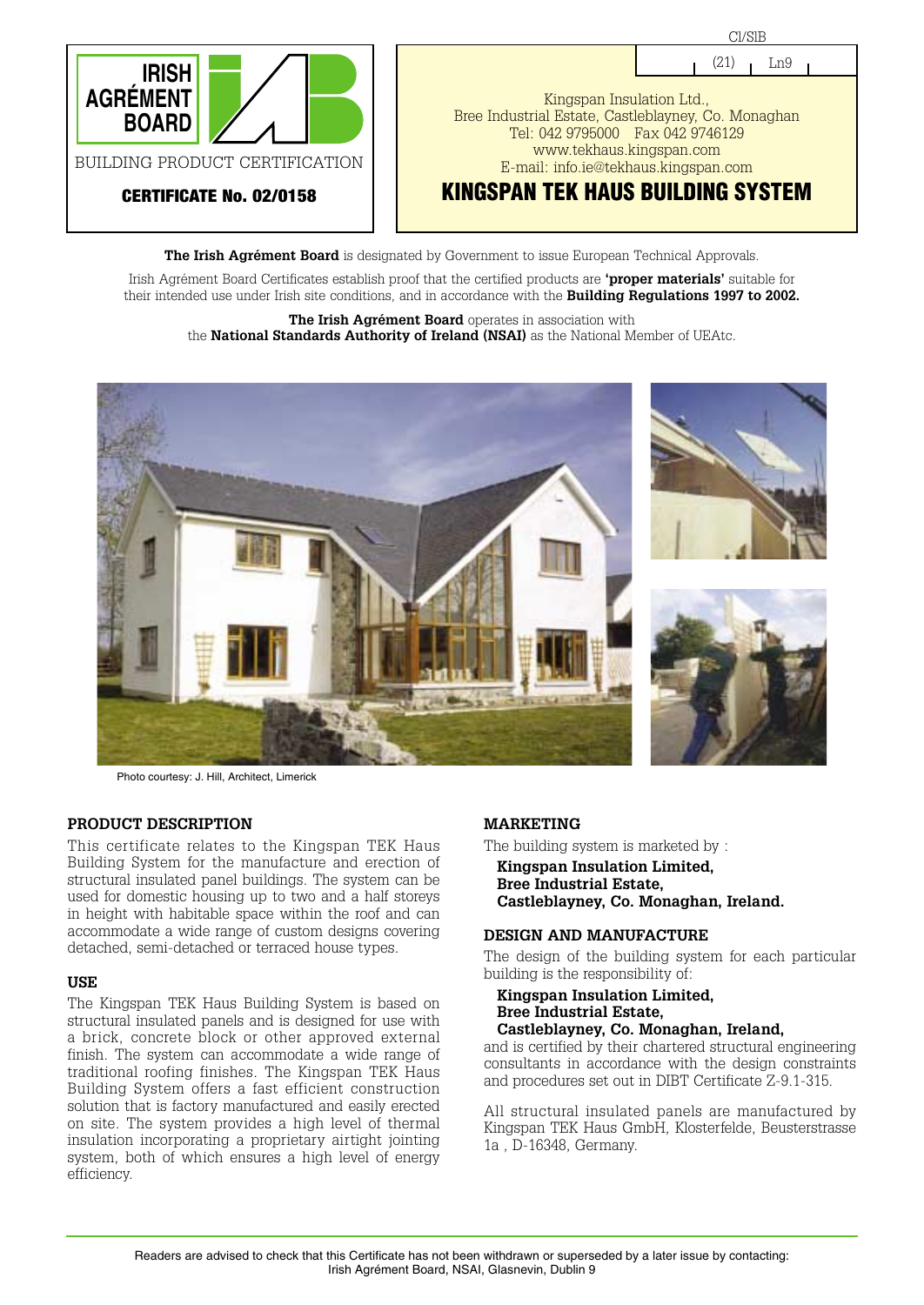

**The Irish Agrément Board** is designated by Government to issue European Technical Approvals.

Irish Agrément Board Certificates establish proof that the certified products are **'proper materials'** suitable for their intended use under Irish site conditions, and in accordance with the **Building Regulations 1997 to 2002.**

**The Irish Agrément Board** operates in association with the **National Standards Authority of Ireland (NSAI)** as the National Member of UEAtc.



Photo courtesy: J. Hill, Architect, Limerick

#### **PRODUCT DESCRIPTION**

This certificate relates to the Kingspan TEK Haus Building System for the manufacture and erection of structural insulated panel buildings. The system can be used for domestic housing up to two and a half storeys in height with habitable space within the roof and can accommodate a wide range of custom designs covering detached, semi-detached or terraced house types.

#### **USE**

The Kingspan TEK Haus Building System is based on structural insulated panels and is designed for use with a brick, concrete block or other approved external finish. The system can accommodate a wide range of traditional roofing finishes. The Kingspan TEK Haus Building System offers a fast efficient construction solution that is factory manufactured and easily erected on site. The system provides a high level of thermal insulation incorporating a proprietary airtight jointing system, both of which ensures a high level of energy efficiency.

#### **MARKETING**

The building system is marketed by :

**Kingspan Insulation Limited, Bree Industrial Estate, Castleblayney, Co. Monaghan, Ireland.**

#### **DESIGN AND MANUFACTURE**

The design of the building system for each particular building is the responsibility of:

**Kingspan Insulation Limited, Bree Industrial Estate, Castleblayney, Co. Monaghan, Ireland,**

and is certified by their chartered structural engineering consultants in accordance with the design constraints and procedures set out in DIBT Certificate Z-9.1-315.

All structural insulated panels are manufactured by Kingspan TEK Haus GmbH, Klosterfelde, Beusterstrasse 1a , D-16348, Germany.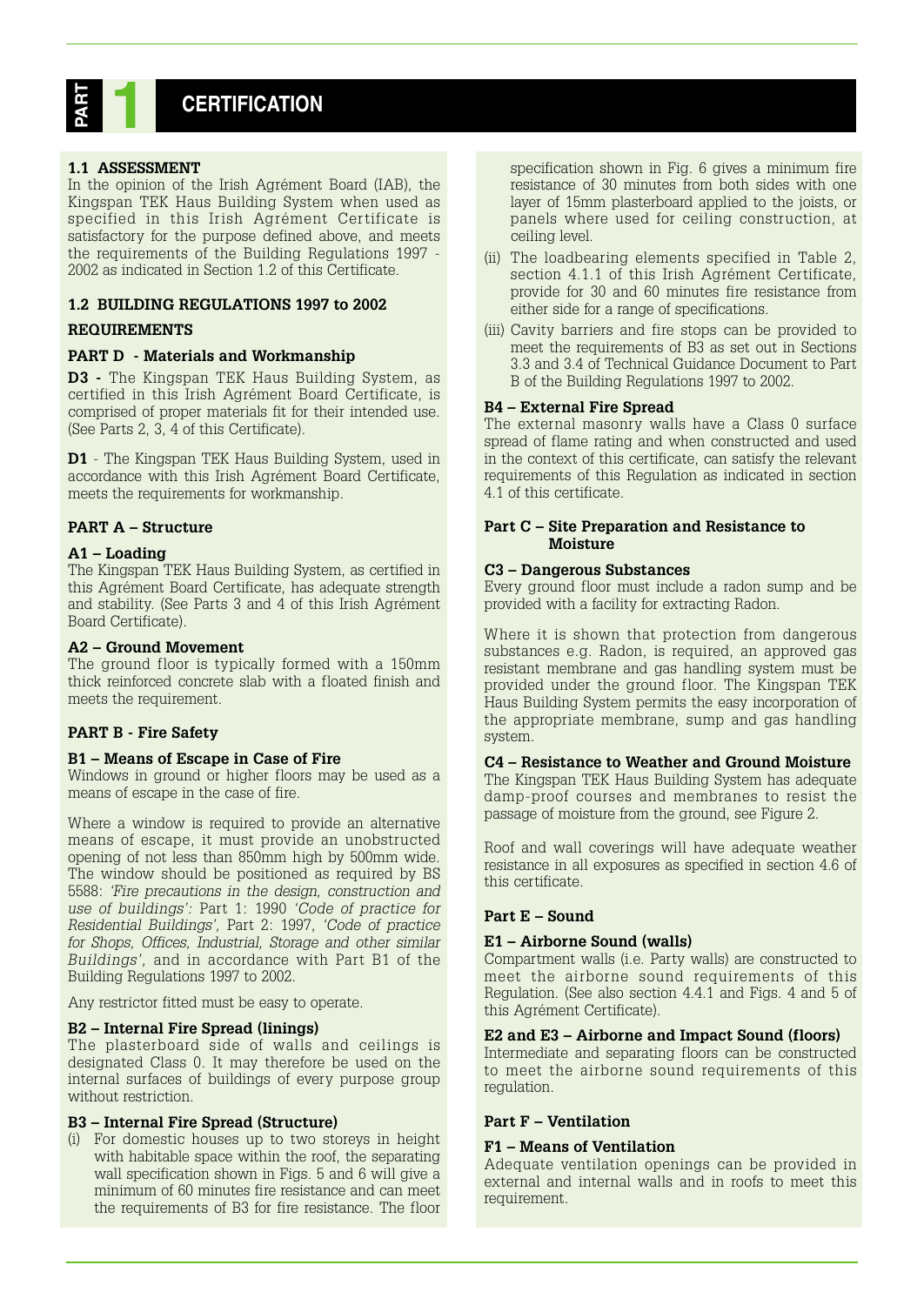# **CERTIFICATION PART 1**

#### **1.1 ASSESSMENT**

In the opinion of the Irish Agrément Board (IAB), the Kingspan TEK Haus Building System when used as specified in this Irish Agrément Certificate is satisfactory for the purpose defined above, and meets the requirements of the Building Regulations 1997 - 2002 as indicated in Section 1.2 of this Certificate.

#### **1.2 BUILDING REGULATIONS 1997 to 2002**

#### **REQUIREMENTS**

#### **PART D - Materials and Workmanship**

**D3 -** The Kingspan TEK Haus Building System, as certified in this Irish Agrément Board Certificate, is comprised of proper materials fit for their intended use. (See Parts 2, 3, 4 of this Certificate).

**D1** - The Kingspan TEK Haus Building System, used in accordance with this Irish Agrément Board Certificate, meets the requirements for workmanship.

#### **PART A – Structure**

#### **A1 – Loading**

The Kingspan TEK Haus Building System, as certified in this Agrément Board Certificate, has adequate strength and stability. (See Parts 3 and 4 of this Irish Agrément Board Certificate).

#### **A2 – Ground Movement**

The ground floor is typically formed with a 150mm thick reinforced concrete slab with a floated finish and meets the requirement.

#### **PART B - Fire Safety**

#### **B1 – Means of Escape in Case of Fire**

Windows in ground or higher floors may be used as a means of escape in the case of fire.

Where a window is required to provide an alternative means of escape, it must provide an unobstructed opening of not less than 850mm high by 500mm wide. The window should be positioned as required by BS 5588: *'Fire precautions in the design, construction and use of buildings':* Part 1: 1990 *'Code of practice for Residential Buildings',* Part 2: 1997, *'Code of practice for Shops, Offices, Industrial, Storage and other similar Buildings',* and in accordance with Part B1 of the Building Regulations 1997 to 2002.

Any restrictor fitted must be easy to operate.

#### **B2 – Internal Fire Spread (linings)**

The plasterboard side of walls and ceilings is designated Class 0. It may therefore be used on the internal surfaces of buildings of every purpose group without restriction.

#### **B3 – Internal Fire Spread (Structure)**

(i) For domestic houses up to two storeys in height with habitable space within the roof, the separating wall specification shown in Figs. 5 and 6 will give a minimum of 60 minutes fire resistance and can meet the requirements of B3 for fire resistance. The floor

specification shown in Fig. 6 gives a minimum fire resistance of 30 minutes from both sides with one layer of 15mm plasterboard applied to the joists, or panels where used for ceiling construction, at ceiling level.

- (ii) The loadbearing elements specified in Table 2, section 4.1.1 of this Irish Agrément Certificate, provide for 30 and 60 minutes fire resistance from either side for a range of specifications.
- (iii) Cavity barriers and fire stops can be provided to meet the requirements of B3 as set out in Sections 3.3 and 3.4 of Technical Guidance Document to Part B of the Building Regulations 1997 to 2002.

#### **B4 – External Fire Spread**

The external masonry walls have a Class 0 surface spread of flame rating and when constructed and used in the context of this certificate, can satisfy the relevant requirements of this Regulation as indicated in section 4.1 of this certificate.

#### **Part C – Site Preparation and Resistance to Moisture**

#### **C3 – Dangerous Substances**

Every ground floor must include a radon sump and be provided with a facility for extracting Radon.

Where it is shown that protection from dangerous substances e.g. Radon, is required, an approved gas resistant membrane and gas handling system must be provided under the ground floor. The Kingspan TEK Haus Building System permits the easy incorporation of the appropriate membrane, sump and gas handling system.

#### **C4 – Resistance to Weather and Ground Moisture**

The Kingspan TEK Haus Building System has adequate damp-proof courses and membranes to resist the passage of moisture from the ground, see Figure 2.

Roof and wall coverings will have adequate weather resistance in all exposures as specified in section 4.6 of this certificate.

#### **Part E – Sound**

#### **E1 – Airborne Sound (walls)**

Compartment walls (i.e. Party walls) are constructed to meet the airborne sound requirements of this Regulation. (See also section 4.4.1 and Figs. 4 and 5 of this Agrément Certificate).

#### **E2 and E3 – Airborne and Impact Sound (floors)**

Intermediate and separating floors can be constructed to meet the airborne sound requirements of this regulation.

#### **Part F – Ventilation**

#### **F1 – Means of Ventilation**

Adequate ventilation openings can be provided in external and internal walls and in roofs to meet this requirement.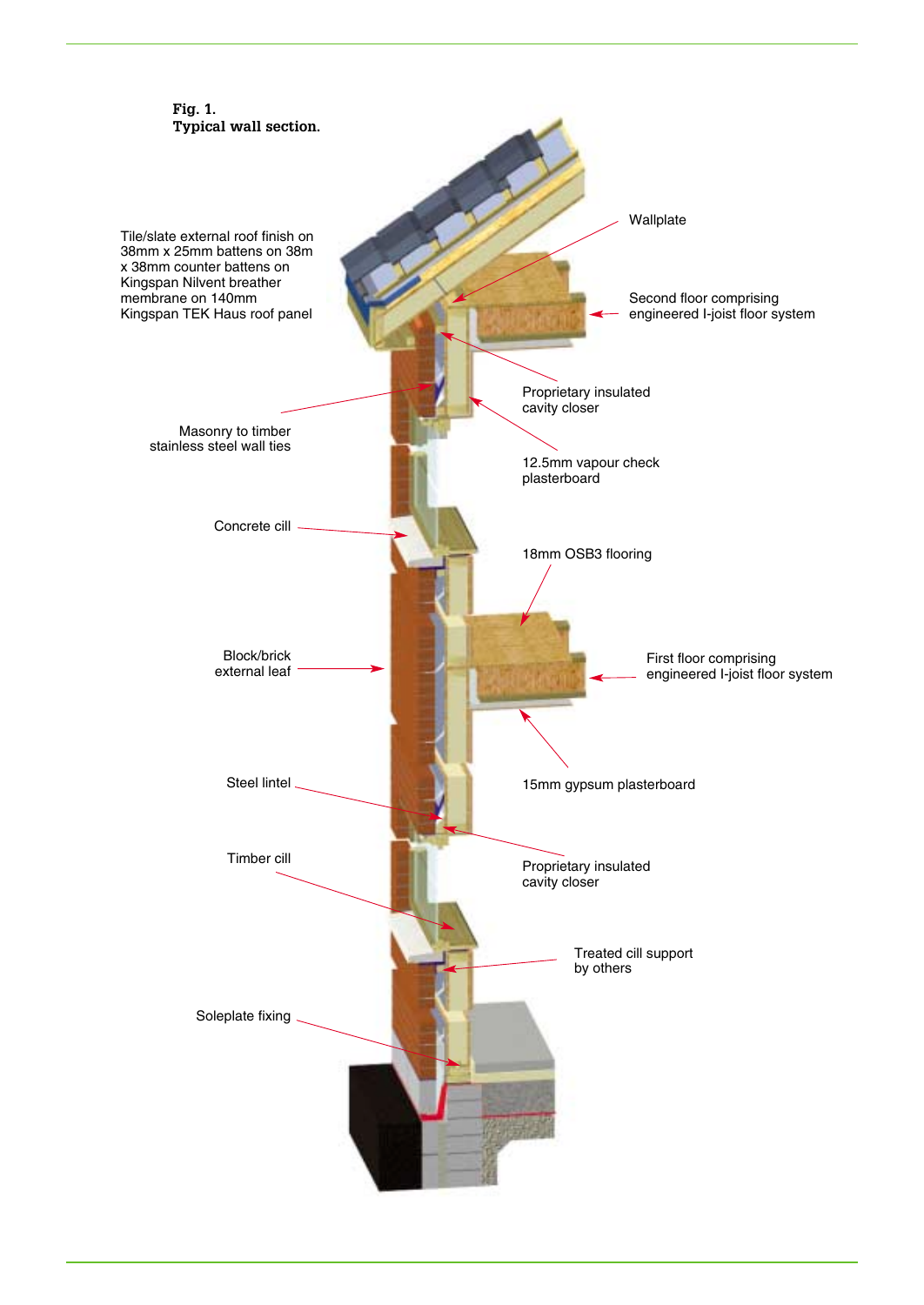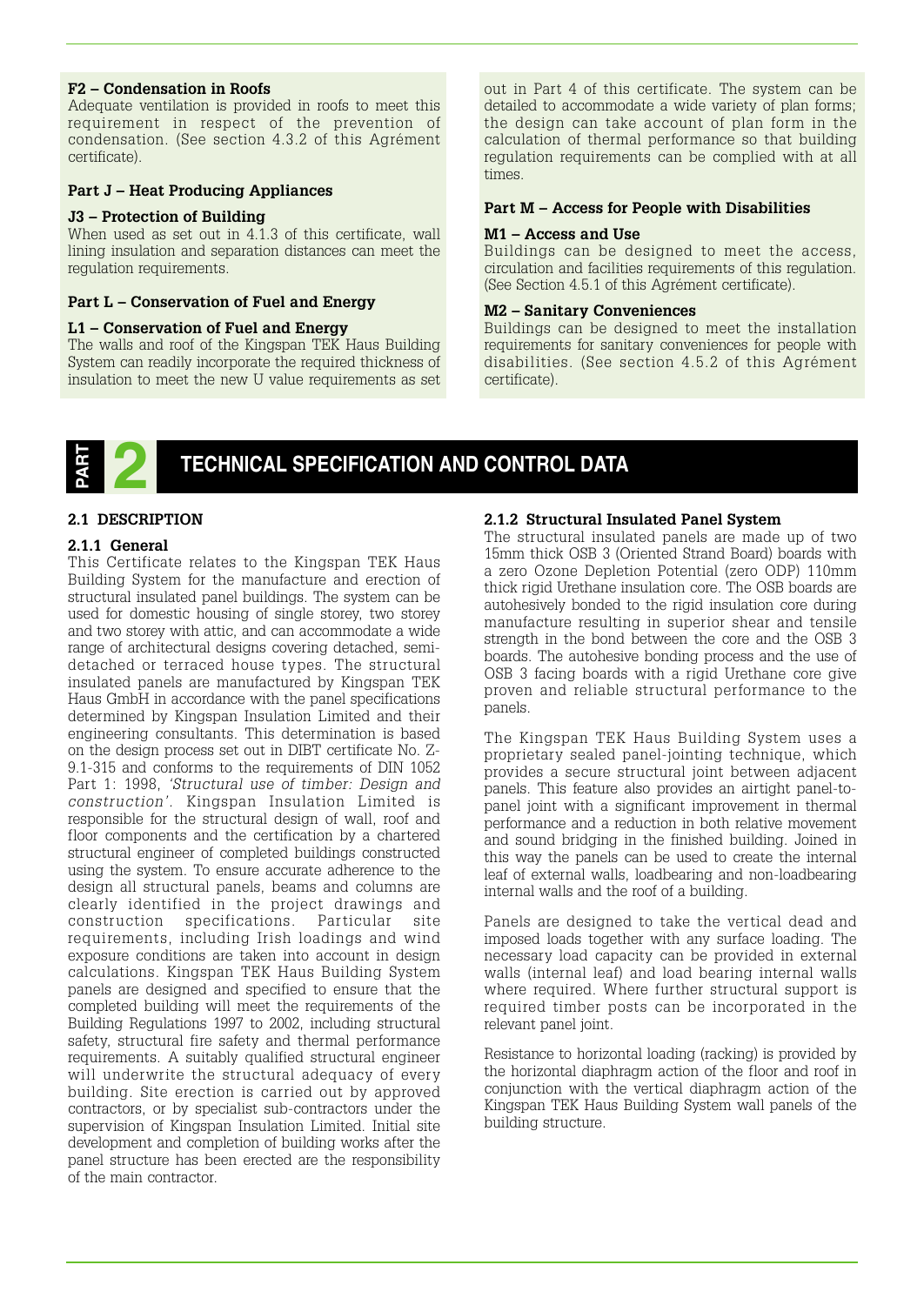#### **F2 – Condensation in Roofs**

Adequate ventilation is provided in roofs to meet this requirement in respect of the prevention of condensation. (See section 4.3.2 of this Agrément certificate).

#### **Part J – Heat Producing Appliances**

#### **J3 – Protection of Building**

When used as set out in 4.1.3 of this certificate, wall lining insulation and separation distances can meet the regulation requirements.

#### **Part L – Conservation of Fuel and Energy**

#### **L1 – Conservation of Fuel and Energy**

The walls and roof of the Kingspan TEK Haus Building System can readily incorporate the required thickness of insulation to meet the new U value requirements as set

out in Part 4 of this certificate. The system can be detailed to accommodate a wide variety of plan forms; the design can take account of plan form in the calculation of thermal performance so that building regulation requirements can be complied with at all times.

#### **Part M – Access for People with Disabilities**

#### **M1 – Access and Use**

Buildings can be designed to meet the access, circulation and facilities requirements of this regulation. (See Section 4.5.1 of this Agrément certificate).

#### **M2 – Sanitary Conveniences**

Buildings can be designed to meet the installation requirements for sanitary conveniences for people with disabilities. (See section 4.5.2 of this Agrément certificate).



# **TECHNICAL SPECIFICATION AND CONTROL DATA**

#### **2.1 DESCRIPTION**

#### **2.1.1 General**

This Certificate relates to the Kingspan TEK Haus Building System for the manufacture and erection of structural insulated panel buildings. The system can be used for domestic housing of single storey, two storey and two storey with attic, and can accommodate a wide range of architectural designs covering detached, semidetached or terraced house types. The structural insulated panels are manufactured by Kingspan TEK Haus GmbH in accordance with the panel specifications determined by Kingspan Insulation Limited and their engineering consultants. This determination is based on the design process set out in DIBT certificate No. Z-9.1-315 and conforms to the requirements of DIN 1052 Part 1: 1998, *'Structural use of timber: Design and construction'.* Kingspan Insulation Limited is responsible for the structural design of wall, roof and floor components and the certification by a chartered structural engineer of completed buildings constructed using the system. To ensure accurate adherence to the design all structural panels, beams and columns are clearly identified in the project drawings and construction specifications. Particular site requirements, including Irish loadings and wind exposure conditions are taken into account in design calculations. Kingspan TEK Haus Building System panels are designed and specified to ensure that the completed building will meet the requirements of the Building Regulations 1997 to 2002, including structural safety, structural fire safety and thermal performance requirements. A suitably qualified structural engineer will underwrite the structural adequacy of every building. Site erection is carried out by approved contractors, or by specialist sub-contractors under the supervision of Kingspan Insulation Limited. Initial site development and completion of building works after the panel structure has been erected are the responsibility of the main contractor.

#### **2.1.2 Structural Insulated Panel System**

The structural insulated panels are made up of two 15mm thick OSB 3 (Oriented Strand Board) boards with a zero Ozone Depletion Potential (zero ODP) 110mm thick rigid Urethane insulation core. The OSB boards are autohesively bonded to the rigid insulation core during manufacture resulting in superior shear and tensile strength in the bond between the core and the OSB 3 boards. The autohesive bonding process and the use of OSB 3 facing boards with a rigid Urethane core give proven and reliable structural performance to the panels.

The Kingspan TEK Haus Building System uses a proprietary sealed panel-jointing technique, which provides a secure structural joint between adjacent panels. This feature also provides an airtight panel-topanel joint with a significant improvement in thermal performance and a reduction in both relative movement and sound bridging in the finished building. Joined in this way the panels can be used to create the internal leaf of external walls, loadbearing and non-loadbearing internal walls and the roof of a building.

Panels are designed to take the vertical dead and imposed loads together with any surface loading. The necessary load capacity can be provided in external walls (internal leaf) and load bearing internal walls where required. Where further structural support is required timber posts can be incorporated in the relevant panel joint.

Resistance to horizontal loading (racking) is provided by the horizontal diaphragm action of the floor and roof in conjunction with the vertical diaphragm action of the Kingspan TEK Haus Building System wall panels of the building structure.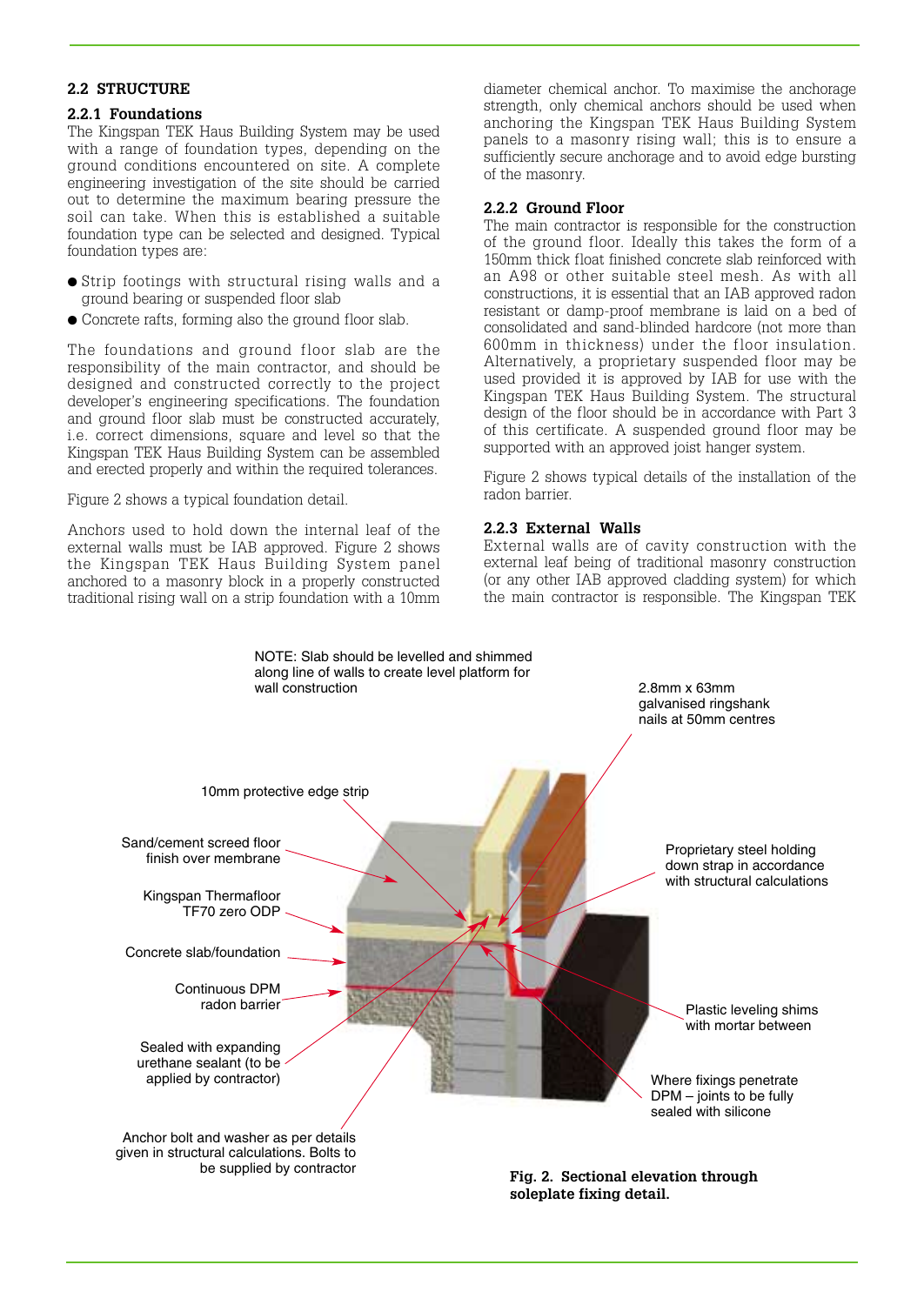#### **2.2 STRUCTURE**

#### **2.2.1 Foundations**

The Kingspan TEK Haus Building System may be used with a range of foundation types, depending on the ground conditions encountered on site. A complete engineering investigation of the site should be carried out to determine the maximum bearing pressure the soil can take. When this is established a suitable foundation type can be selected and designed. Typical foundation types are:

- Strip footings with structural rising walls and a ground bearing or suspended floor slab
- Concrete rafts, forming also the ground floor slab.

The foundations and ground floor slab are the responsibility of the main contractor, and should be designed and constructed correctly to the project developer's engineering specifications. The foundation and ground floor slab must be constructed accurately, i.e. correct dimensions, square and level so that the Kingspan TEK Haus Building System can be assembled and erected properly and within the required tolerances.

#### Figure 2 shows a typical foundation detail.

Anchors used to hold down the internal leaf of the external walls must be IAB approved. Figure 2 shows the Kingspan TEK Haus Building System panel anchored to a masonry block in a properly constructed traditional rising wall on a strip foundation with a 10mm diameter chemical anchor. To maximise the anchorage strength, only chemical anchors should be used when anchoring the Kingspan TEK Haus Building System panels to a masonry rising wall; this is to ensure a sufficiently secure anchorage and to avoid edge bursting of the masonry.

#### **2.2.2 Ground Floor**

The main contractor is responsible for the construction of the ground floor. Ideally this takes the form of a 150mm thick float finished concrete slab reinforced with an A98 or other suitable steel mesh. As with all constructions, it is essential that an IAB approved radon resistant or damp-proof membrane is laid on a bed of consolidated and sand-blinded hardcore (not more than 600mm in thickness) under the floor insulation. Alternatively, a proprietary suspended floor may be used provided it is approved by IAB for use with the Kingspan TEK Haus Building System. The structural design of the floor should be in accordance with Part 3 of this certificate. A suspended ground floor may be supported with an approved joist hanger system.

Figure 2 shows typical details of the installation of the radon barrier.

#### **2.2.3 External Walls**

External walls are of cavity construction with the external leaf being of traditional masonry construction (or any other IAB approved cladding system) for which the main contractor is responsible. The Kingspan TEK

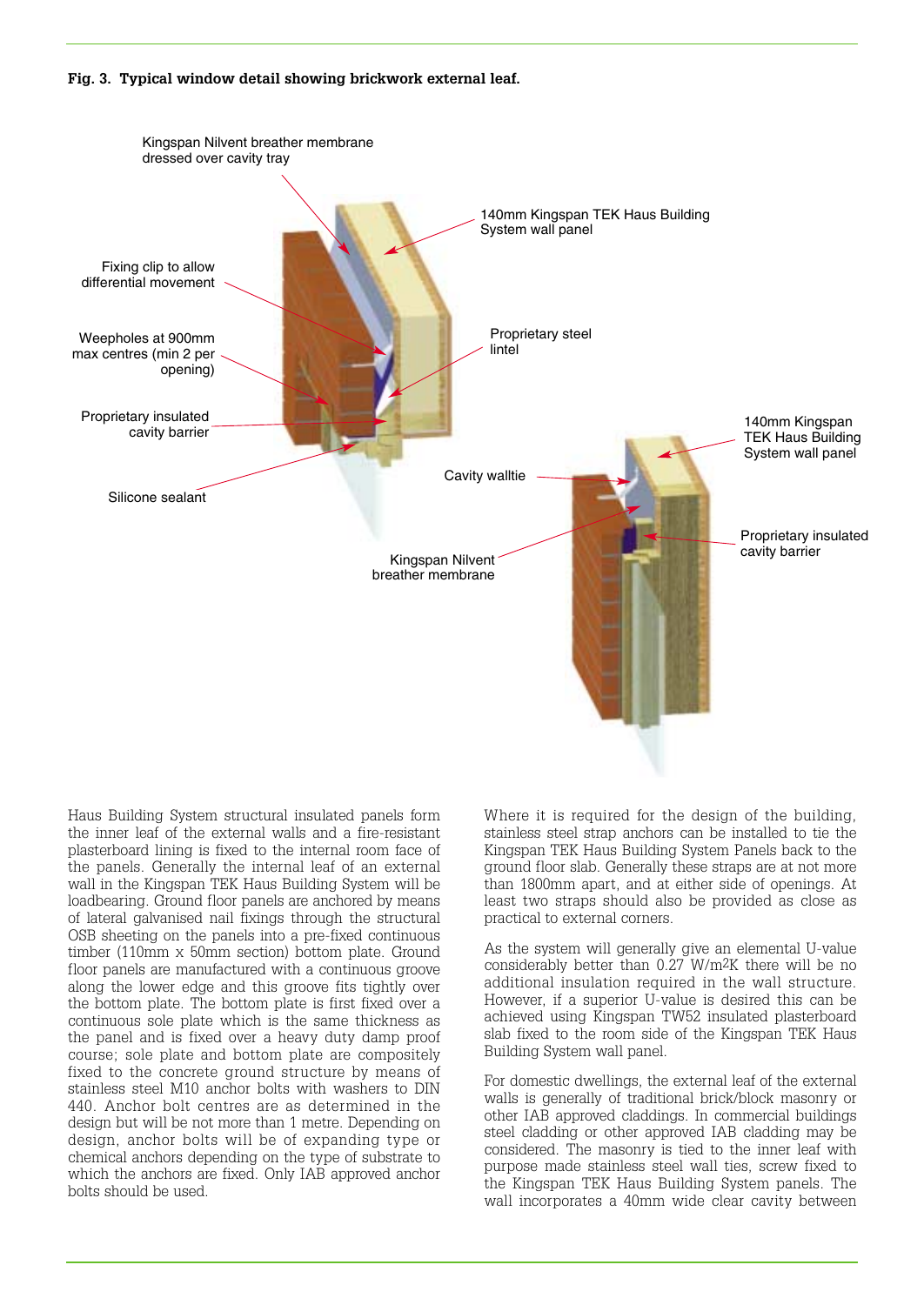#### **Fig. 3. Typical window detail showing brickwork external leaf.**



Haus Building System structural insulated panels form the inner leaf of the external walls and a fire-resistant plasterboard lining is fixed to the internal room face of the panels. Generally the internal leaf of an external wall in the Kingspan TEK Haus Building System will be loadbearing. Ground floor panels are anchored by means of lateral galvanised nail fixings through the structural OSB sheeting on the panels into a pre-fixed continuous timber (110mm x 50mm section) bottom plate. Ground floor panels are manufactured with a continuous groove along the lower edge and this groove fits tightly over the bottom plate. The bottom plate is first fixed over a continuous sole plate which is the same thickness as the panel and is fixed over a heavy duty damp proof course; sole plate and bottom plate are compositely fixed to the concrete ground structure by means of stainless steel M10 anchor bolts with washers to DIN 440. Anchor bolt centres are as determined in the design but will be not more than 1 metre. Depending on design, anchor bolts will be of expanding type or chemical anchors depending on the type of substrate to which the anchors are fixed. Only IAB approved anchor bolts should be used.

Where it is required for the design of the building, stainless steel strap anchors can be installed to tie the Kingspan TEK Haus Building System Panels back to the ground floor slab. Generally these straps are at not more than 1800mm apart, and at either side of openings. At least two straps should also be provided as close as practical to external corners.

As the system will generally give an elemental U-value considerably better than 0.27 W/m2K there will be no additional insulation required in the wall structure. However, if a superior U-value is desired this can be achieved using Kingspan TW52 insulated plasterboard slab fixed to the room side of the Kingspan TEK Haus Building System wall panel.

For domestic dwellings, the external leaf of the external walls is generally of traditional brick/block masonry or other IAB approved claddings. In commercial buildings steel cladding or other approved IAB cladding may be considered. The masonry is tied to the inner leaf with purpose made stainless steel wall ties, screw fixed to the Kingspan TEK Haus Building System panels. The wall incorporates a 40mm wide clear cavity between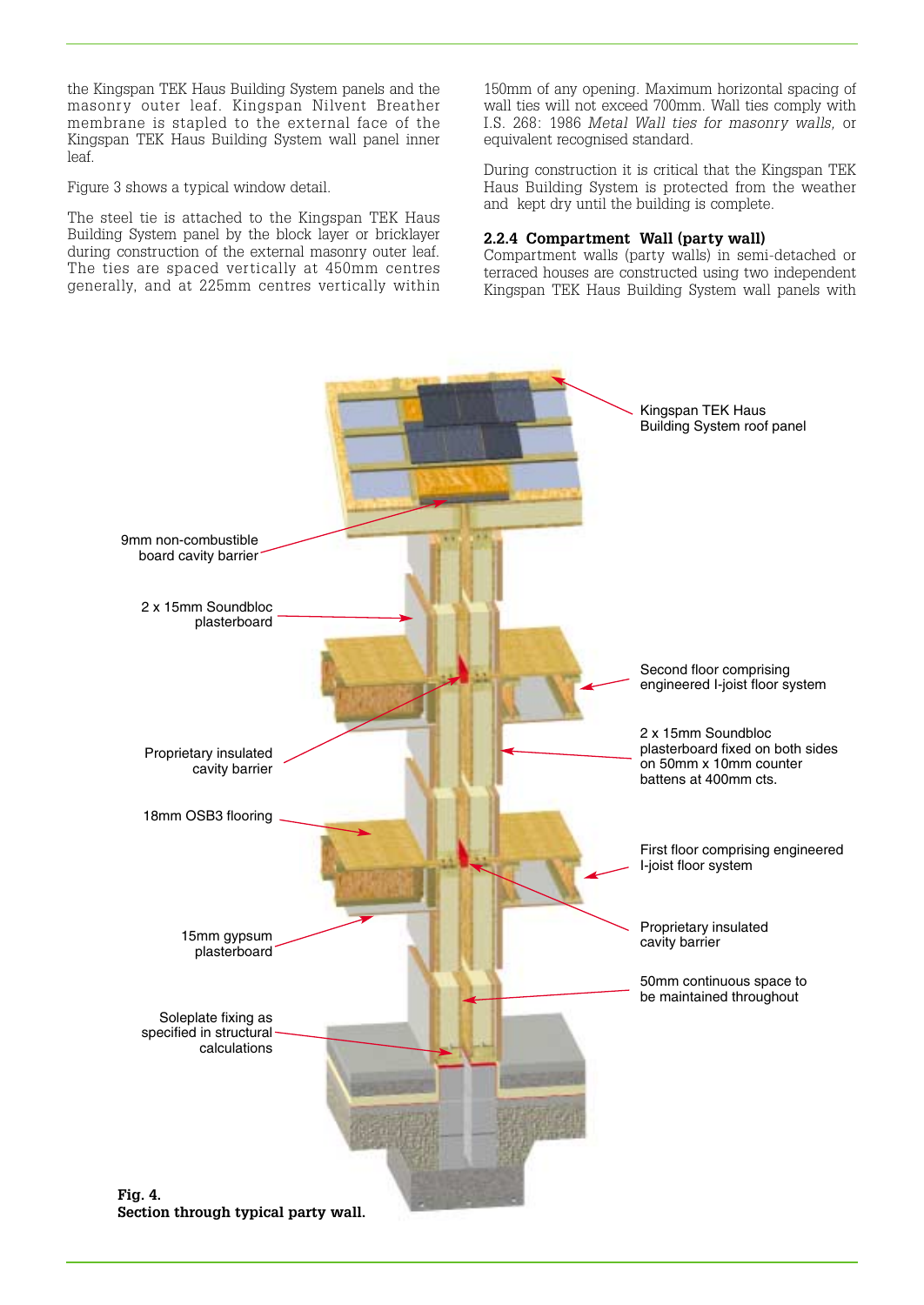the Kingspan TEK Haus Building System panels and the masonry outer leaf. Kingspan Nilvent Breather membrane is stapled to the external face of the Kingspan TEK Haus Building System wall panel inner leaf.

Figure 3 shows a typical window detail.

The steel tie is attached to the Kingspan TEK Haus Building System panel by the block layer or bricklayer during construction of the external masonry outer leaf. The ties are spaced vertically at 450mm centres generally, and at 225mm centres vertically within 150mm of any opening. Maximum horizontal spacing of wall ties will not exceed 700mm. Wall ties comply with I.S. 268: 1986 *Metal Wall ties for masonry walls,* or equivalent recognised standard.

During construction it is critical that the Kingspan TEK Haus Building System is protected from the weather and kept dry until the building is complete.

#### **2.2.4 Compartment Wall (party wall)**

Compartment walls (party walls) in semi-detached or terraced houses are constructed using two independent Kingspan TEK Haus Building System wall panels with

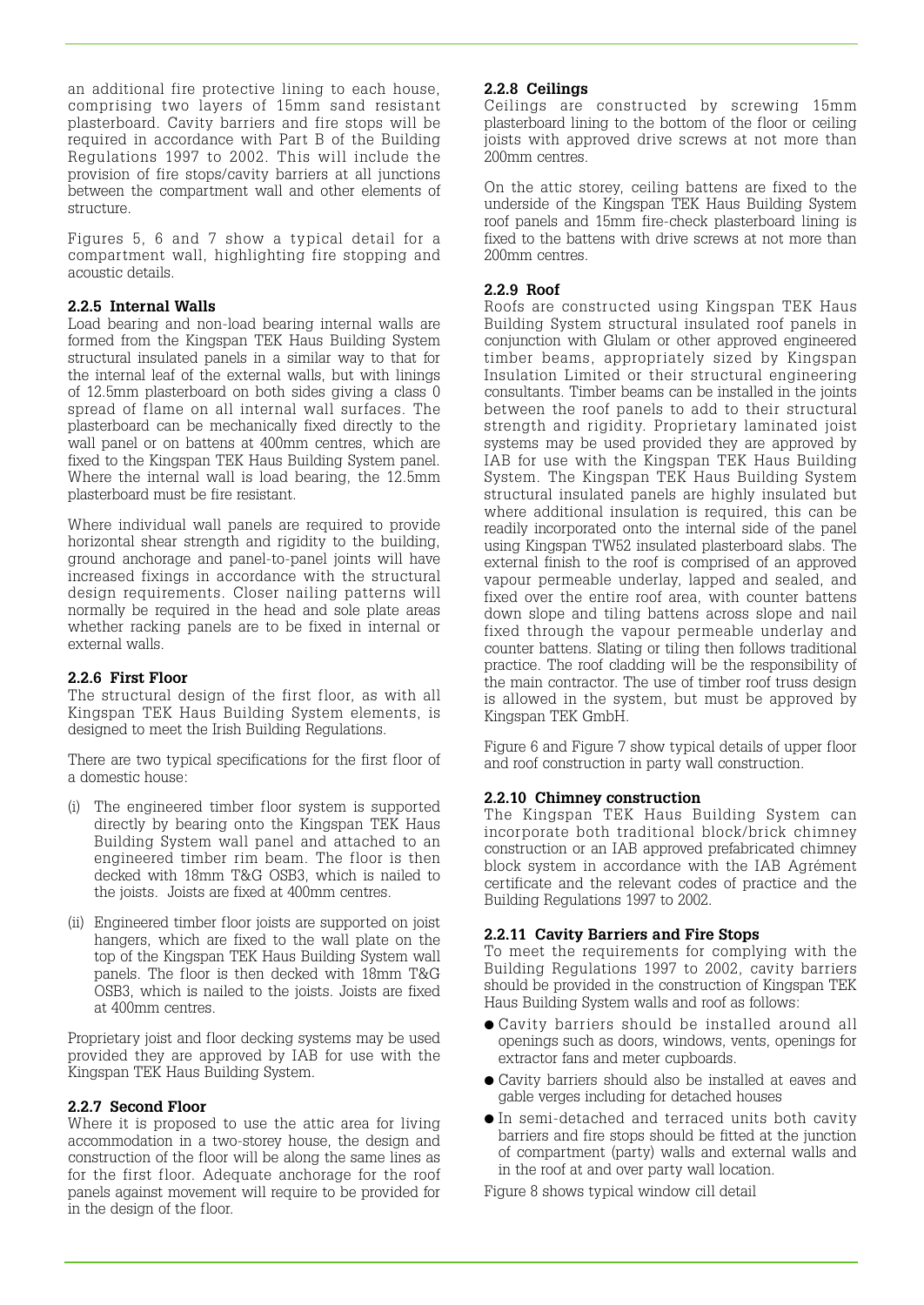an additional fire protective lining to each house, comprising two layers of 15mm sand resistant plasterboard. Cavity barriers and fire stops will be required in accordance with Part B of the Building Regulations 1997 to 2002. This will include the provision of fire stops/cavity barriers at all junctions between the compartment wall and other elements of structure.

Figures 5, 6 and 7 show a typical detail for a compartment wall, highlighting fire stopping and acoustic details.

#### **2.2.5 Internal Walls**

Load bearing and non-load bearing internal walls are formed from the Kingspan TEK Haus Building System structural insulated panels in a similar way to that for the internal leaf of the external walls, but with linings of 12.5mm plasterboard on both sides giving a class 0 spread of flame on all internal wall surfaces. The plasterboard can be mechanically fixed directly to the wall panel or on battens at 400mm centres, which are fixed to the Kingspan TEK Haus Building System panel. Where the internal wall is load bearing, the 12.5mm plasterboard must be fire resistant.

Where individual wall panels are required to provide horizontal shear strength and rigidity to the building, ground anchorage and panel-to-panel joints will have increased fixings in accordance with the structural design requirements. Closer nailing patterns will normally be required in the head and sole plate areas whether racking panels are to be fixed in internal or external walls.

#### **2.2.6 First Floor**

The structural design of the first floor, as with all Kingspan TEK Haus Building System elements, is designed to meet the Irish Building Regulations.

There are two typical specifications for the first floor of a domestic house:

- (i) The engineered timber floor system is supported directly by bearing onto the Kingspan TEK Haus Building System wall panel and attached to an engineered timber rim beam. The floor is then decked with 18mm T&G OSB3, which is nailed to the joists. Joists are fixed at 400mm centres.
- (ii) Engineered timber floor joists are supported on joist hangers, which are fixed to the wall plate on the top of the Kingspan TEK Haus Building System wall panels. The floor is then decked with 18mm T&G OSB3, which is nailed to the joists. Joists are fixed at 400mm centres.

Proprietary joist and floor decking systems may be used provided they are approved by IAB for use with the Kingspan TEK Haus Building System.

#### **2.2.7 Second Floor**

Where it is proposed to use the attic area for living accommodation in a two-storey house, the design and construction of the floor will be along the same lines as for the first floor. Adequate anchorage for the roof panels against movement will require to be provided for in the design of the floor.

#### **2.2.8 Ceilings**

Ceilings are constructed by screwing 15mm plasterboard lining to the bottom of the floor or ceiling joists with approved drive screws at not more than 200mm centres.

On the attic storey, ceiling battens are fixed to the underside of the Kingspan TEK Haus Building System roof panels and 15mm fire-check plasterboard lining is fixed to the battens with drive screws at not more than 200mm centres.

#### **2.2.9 Roof**

Roofs are constructed using Kingspan TEK Haus Building System structural insulated roof panels in conjunction with Glulam or other approved engineered timber beams, appropriately sized by Kingspan Insulation Limited or their structural engineering consultants. Timber beams can be installed in the joints between the roof panels to add to their structural strength and rigidity. Proprietary laminated joist systems may be used provided they are approved by IAB for use with the Kingspan TEK Haus Building System. The Kingspan TEK Haus Building System structural insulated panels are highly insulated but where additional insulation is required, this can be readily incorporated onto the internal side of the panel using Kingspan TW52 insulated plasterboard slabs. The external finish to the roof is comprised of an approved vapour permeable underlay, lapped and sealed, and fixed over the entire roof area, with counter battens down slope and tiling battens across slope and nail fixed through the vapour permeable underlay and counter battens. Slating or tiling then follows traditional practice. The roof cladding will be the responsibility of the main contractor. The use of timber roof truss design is allowed in the system, but must be approved by Kingspan TEK GmbH.

Figure 6 and Figure 7 show typical details of upper floor and roof construction in party wall construction.

#### **2.2.10 Chimney construction**

The Kingspan TEK Haus Building System can incorporate both traditional block/brick chimney construction or an IAB approved prefabricated chimney block system in accordance with the IAB Agrément certificate and the relevant codes of practice and the Building Regulations 1997 to 2002.

#### **2.2.11 Cavity Barriers and Fire Stops**

To meet the requirements for complying with the Building Regulations 1997 to 2002, cavity barriers should be provided in the construction of Kingspan TEK Haus Building System walls and roof as follows:

- Cavity barriers should be installed around all openings such as doors, windows, vents, openings for extractor fans and meter cupboards.
- Cavity barriers should also be installed at eaves and gable verges including for detached houses
- In semi-detached and terraced units both cavity barriers and fire stops should be fitted at the junction of compartment (party) walls and external walls and in the roof at and over party wall location.

Figure 8 shows typical window cill detail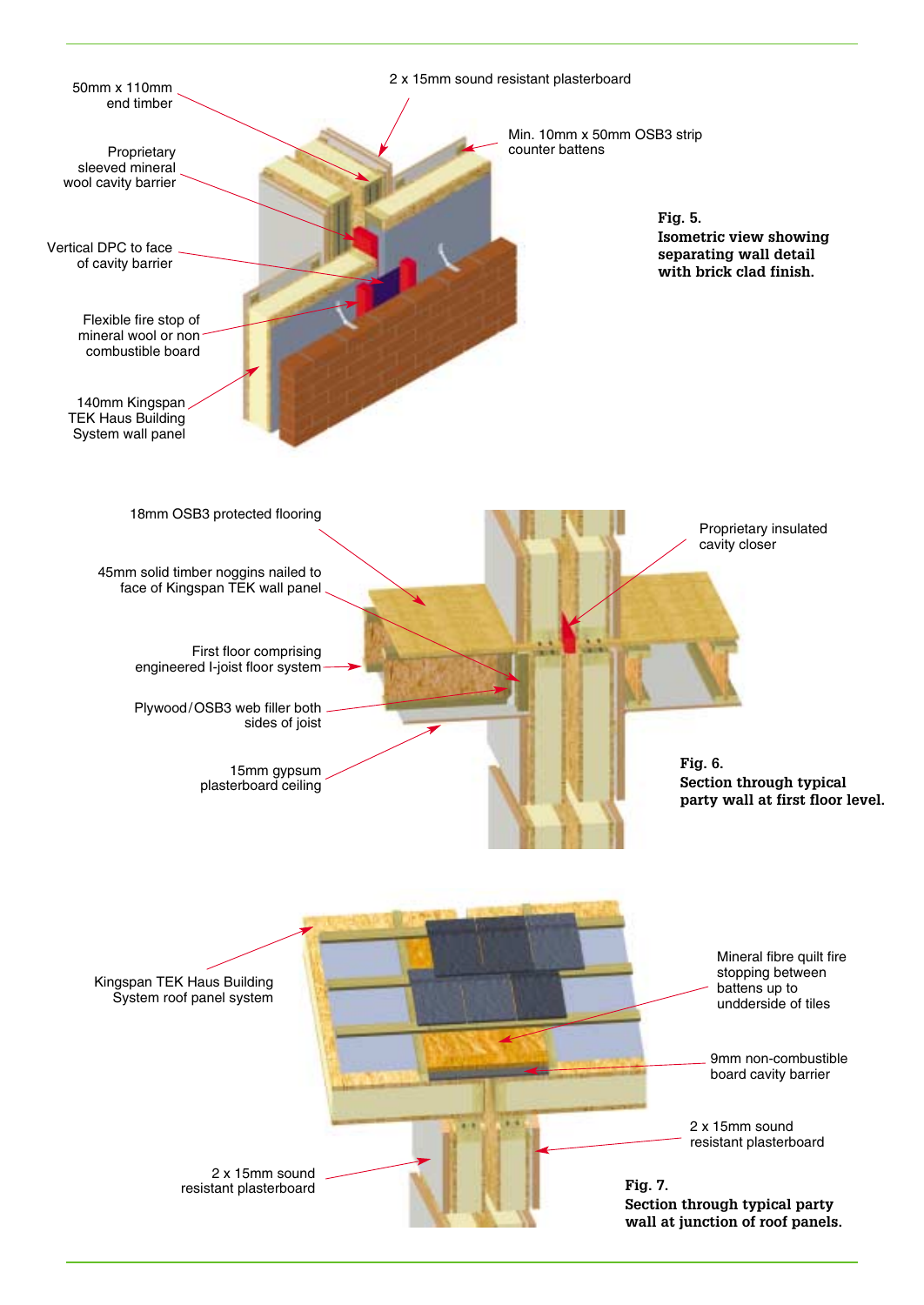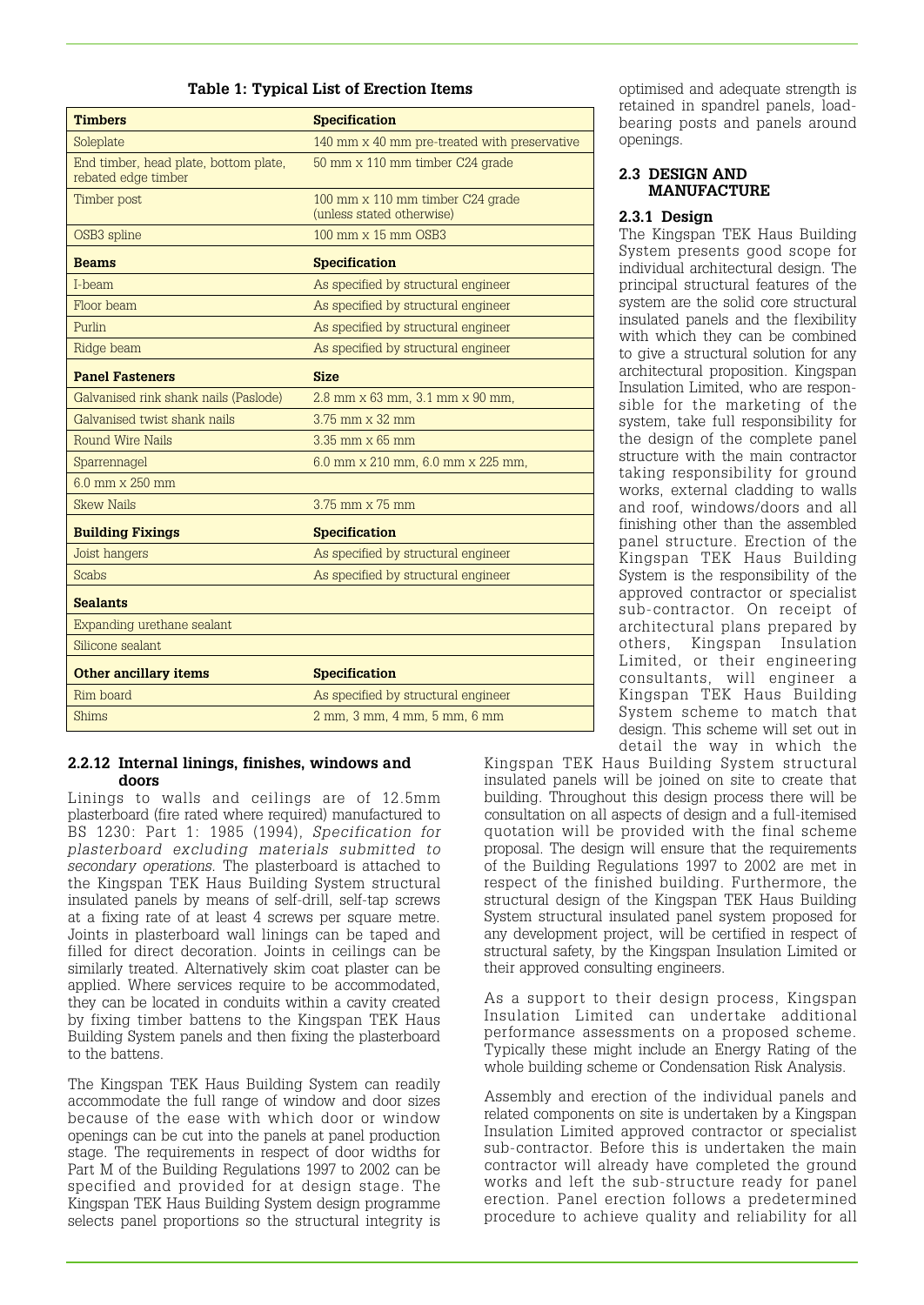#### **Table 1: Typical List of Erection Items**

| <b>Timbers</b>                                               | <b>Specification</b>                                          |  |
|--------------------------------------------------------------|---------------------------------------------------------------|--|
| Soleplate                                                    | 140 mm x 40 mm pre-treated with preservative                  |  |
| End timber, head plate, bottom plate,<br>rebated edge timber | 50 mm x 110 mm timber C24 grade                               |  |
| Timber post                                                  | 100 mm x 110 mm timber C24 grade<br>(unless stated otherwise) |  |
| OSB3 spline                                                  | 100 mm x 15 mm OSB3                                           |  |
| <b>Beams</b>                                                 | <b>Specification</b>                                          |  |
| I-beam                                                       | As specified by structural engineer                           |  |
| Floor beam                                                   | As specified by structural engineer                           |  |
| Purlin                                                       | As specified by structural engineer                           |  |
| Ridge beam                                                   | As specified by structural engineer                           |  |
| <b>Panel Fasteners</b>                                       | <b>Size</b>                                                   |  |
| Galvanised rink shank nails (Paslode)                        | 2.8 mm x 63 mm, 3.1 mm x 90 mm,                               |  |
| Galvanised twist shank nails                                 | $3.75$ mm $\times$ 32 mm                                      |  |
| <b>Round Wire Nails</b>                                      | $3.35$ mm $\times$ 65 mm                                      |  |
| Sparrennagel                                                 | 6.0 mm x 210 mm, 6.0 mm x 225 mm,                             |  |
| $6.0$ mm $\times$ 250 mm                                     |                                                               |  |
| <b>Skew Nails</b>                                            | 3.75 mm x 75 mm                                               |  |
| <b>Building Fixings</b>                                      | <b>Specification</b>                                          |  |
| Joist hangers                                                | As specified by structural engineer                           |  |
| <b>Scabs</b>                                                 | As specified by structural engineer                           |  |
| <b>Sealants</b>                                              |                                                               |  |
| Expanding urethane sealant                                   |                                                               |  |
| Silicone sealant                                             |                                                               |  |
| <b>Other ancillary items</b>                                 | <b>Specification</b>                                          |  |
| Rim board                                                    | As specified by structural engineer                           |  |
| <b>Shims</b>                                                 | 2 mm, 3 mm, 4 mm, 5 mm, 6 mm                                  |  |

#### **2.2.12 Internal linings, finishes, windows and doors**

Linings to walls and ceilings are of 12.5mm plasterboard (fire rated where required) manufactured to BS 1230: Part 1: 1985 (1994), *Specification for plasterboard excluding materials submitted to secondary operations.* The plasterboard is attached to the Kingspan TEK Haus Building System structural insulated panels by means of self-drill, self-tap screws at a fixing rate of at least 4 screws per square metre. Joints in plasterboard wall linings can be taped and filled for direct decoration. Joints in ceilings can be similarly treated. Alternatively skim coat plaster can be applied. Where services require to be accommodated, they can be located in conduits within a cavity created by fixing timber battens to the Kingspan TEK Haus Building System panels and then fixing the plasterboard to the battens.

The Kingspan TEK Haus Building System can readily accommodate the full range of window and door sizes because of the ease with which door or window openings can be cut into the panels at panel production stage. The requirements in respect of door widths for Part M of the Building Regulations 1997 to 2002 can be specified and provided for at design stage. The Kingspan TEK Haus Building System design programme selects panel proportions so the structural integrity is

optimised and adequate strength is retained in spandrel panels, loadbearing posts and panels around openings.

#### **2.3 DESIGN AND MANUFACTURE**

#### **2.3.1 Design**

The Kingspan TEK Haus Building System presents good scope for individual architectural design. The principal structural features of the system are the solid core structural insulated panels and the flexibility with which they can be combined to give a structural solution for any architectural proposition. Kingspan Insulation Limited, who are responsible for the marketing of the system, take full responsibility for the design of the complete panel structure with the main contractor taking responsibility for ground works, external cladding to walls and roof, windows/doors and all finishing other than the assembled panel structure. Erection of the Kingspan TEK Haus Building System is the responsibility of the approved contractor or specialist sub-contractor. On receipt of architectural plans prepared by others, Kingspan Insulation Limited, or their engineering consultants, will engineer a Kingspan TEK Haus Building System scheme to match that design. This scheme will set out in detail the way in which the

Kingspan TEK Haus Building System structural insulated panels will be joined on site to create that building. Throughout this design process there will be consultation on all aspects of design and a full-itemised quotation will be provided with the final scheme proposal. The design will ensure that the requirements of the Building Regulations 1997 to 2002 are met in respect of the finished building. Furthermore, the structural design of the Kingspan TEK Haus Building System structural insulated panel system proposed for any development project, will be certified in respect of structural safety, by the Kingspan Insulation Limited or their approved consulting engineers.

As a support to their design process, Kingspan Insulation Limited can undertake additional performance assessments on a proposed scheme. Typically these might include an Energy Rating of the whole building scheme or Condensation Risk Analysis.

Assembly and erection of the individual panels and related components on site is undertaken by a Kingspan Insulation Limited approved contractor or specialist sub-contractor. Before this is undertaken the main contractor will already have completed the ground works and left the sub-structure ready for panel erection. Panel erection follows a predetermined procedure to achieve quality and reliability for all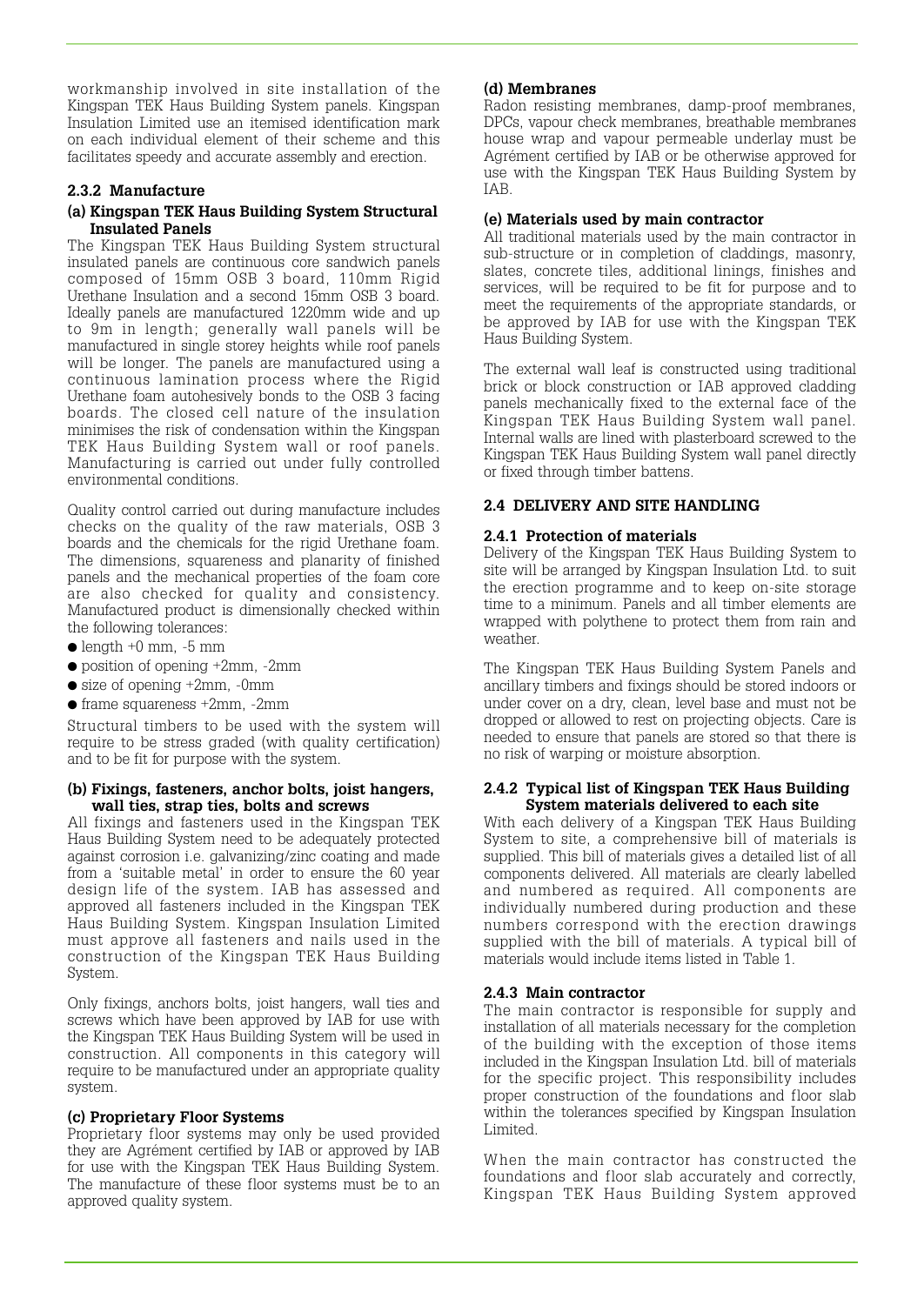workmanship involved in site installation of the Kingspan TEK Haus Building System panels. Kingspan Insulation Limited use an itemised identification mark on each individual element of their scheme and this facilitates speedy and accurate assembly and erection.

# **2.3.2 Manufacture**

#### **(a) Kingspan TEK Haus Building System Structural Insulated Panels**

The Kingspan TEK Haus Building System structural insulated panels are continuous core sandwich panels composed of 15mm OSB 3 board, 110mm Rigid Urethane Insulation and a second 15mm OSB 3 board. Ideally panels are manufactured 1220mm wide and up to 9m in length; generally wall panels will be manufactured in single storey heights while roof panels will be longer. The panels are manufactured using a continuous lamination process where the Rigid Urethane foam autohesively bonds to the OSB 3 facing boards. The closed cell nature of the insulation minimises the risk of condensation within the Kingspan TEK Haus Building System wall or roof panels. Manufacturing is carried out under fully controlled environmental conditions.

Quality control carried out during manufacture includes checks on the quality of the raw materials, OSB 3 boards and the chemicals for the rigid Urethane foam. The dimensions, squareness and planarity of finished panels and the mechanical properties of the foam core are also checked for quality and consistency. Manufactured product is dimensionally checked within the following tolerances:

- $\bullet$  length  $+0$  mm,  $-5$  mm
- position of opening +2mm, -2mm
- $\bullet$  size of opening  $+2mm$ ,  $-0mm$
- frame squareness +2mm, -2mm

Structural timbers to be used with the system will require to be stress graded (with quality certification) and to be fit for purpose with the system.

#### **(b) Fixings, fasteners, anchor bolts, joist hangers, wall ties, strap ties, bolts and screws**

All fixings and fasteners used in the Kingspan TEK Haus Building System need to be adequately protected against corrosion i.e. galvanizing/zinc coating and made from a 'suitable metal' in order to ensure the 60 year design life of the system. IAB has assessed and approved all fasteners included in the Kingspan TEK Haus Building System. Kingspan Insulation Limited must approve all fasteners and nails used in the construction of the Kingspan TEK Haus Building System.

Only fixings, anchors bolts, joist hangers, wall ties and screws which have been approved by IAB for use with the Kingspan TEK Haus Building System will be used in construction. All components in this category will require to be manufactured under an appropriate quality system.

#### **(c) Proprietary Floor Systems**

Proprietary floor systems may only be used provided they are Agrément certified by IAB or approved by IAB for use with the Kingspan TEK Haus Building System. The manufacture of these floor systems must be to an approved quality system.

#### **(d) Membranes**

Radon resisting membranes, damp-proof membranes, DPCs, vapour check membranes, breathable membranes house wrap and vapour permeable underlay must be Agrément certified by IAB or be otherwise approved for use with the Kingspan TEK Haus Building System by IAB.

#### **(e) Materials used by main contractor**

All traditional materials used by the main contractor in sub-structure or in completion of claddings, masonry, slates, concrete tiles, additional linings, finishes and services, will be required to be fit for purpose and to meet the requirements of the appropriate standards, or be approved by IAB for use with the Kingspan TEK Haus Building System.

The external wall leaf is constructed using traditional brick or block construction or IAB approved cladding panels mechanically fixed to the external face of the Kingspan TEK Haus Building System wall panel. Internal walls are lined with plasterboard screwed to the Kingspan TEK Haus Building System wall panel directly or fixed through timber battens.

# **2.4 DELIVERY AND SITE HANDLING**

#### **2.4.1 Protection of materials**

Delivery of the Kingspan TEK Haus Building System to site will be arranged by Kingspan Insulation Ltd. to suit the erection programme and to keep on-site storage time to a minimum. Panels and all timber elements are wrapped with polythene to protect them from rain and weather.

The Kingspan TEK Haus Building System Panels and ancillary timbers and fixings should be stored indoors or under cover on a dry, clean, level base and must not be dropped or allowed to rest on projecting objects. Care is needed to ensure that panels are stored so that there is no risk of warping or moisture absorption.

#### **2.4.2 Typical list of Kingspan TEK Haus Building System materials delivered to each site**

With each delivery of a Kingspan TEK Haus Building System to site, a comprehensive bill of materials is supplied. This bill of materials gives a detailed list of all components delivered. All materials are clearly labelled and numbered as required. All components are individually numbered during production and these numbers correspond with the erection drawings supplied with the bill of materials. A typical bill of materials would include items listed in Table 1.

#### **2.4.3 Main contractor**

The main contractor is responsible for supply and installation of all materials necessary for the completion of the building with the exception of those items included in the Kingspan Insulation Ltd. bill of materials for the specific project. This responsibility includes proper construction of the foundations and floor slab within the tolerances specified by Kingspan Insulation Limited.

When the main contractor has constructed the foundations and floor slab accurately and correctly, Kingspan TEK Haus Building System approved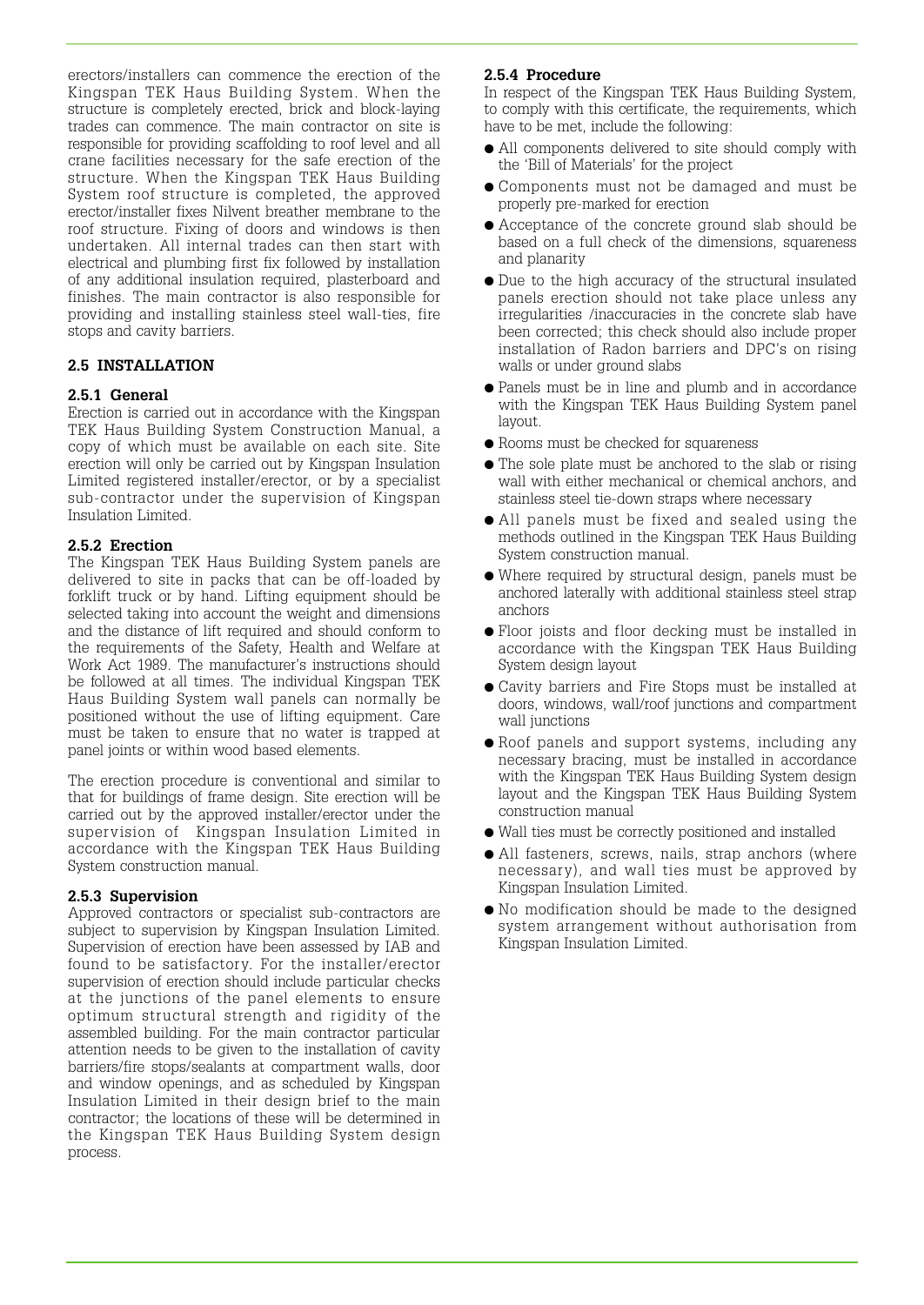erectors/installers can commence the erection of the Kingspan TEK Haus Building System. When the structure is completely erected, brick and block-laying trades can commence. The main contractor on site is responsible for providing scaffolding to roof level and all crane facilities necessary for the safe erection of the structure. When the Kingspan TEK Haus Building System roof structure is completed, the approved erector/installer fixes Nilvent breather membrane to the roof structure. Fixing of doors and windows is then undertaken. All internal trades can then start with electrical and plumbing first fix followed by installation of any additional insulation required, plasterboard and finishes. The main contractor is also responsible for providing and installing stainless steel wall-ties, fire stops and cavity barriers.

# **2.5 INSTALLATION**

#### **2.5.1 General**

Erection is carried out in accordance with the Kingspan TEK Haus Building System Construction Manual, a copy of which must be available on each site. Site erection will only be carried out by Kingspan Insulation Limited registered installer/erector, or by a specialist sub-contractor under the supervision of Kingspan Insulation Limited.

#### **2.5.2 Erection**

The Kingspan TEK Haus Building System panels are delivered to site in packs that can be off-loaded by forklift truck or by hand. Lifting equipment should be selected taking into account the weight and dimensions and the distance of lift required and should conform to the requirements of the Safety, Health and Welfare at Work Act 1989. The manufacturer's instructions should be followed at all times. The individual Kingspan TEK Haus Building System wall panels can normally be positioned without the use of lifting equipment. Care must be taken to ensure that no water is trapped at panel joints or within wood based elements.

The erection procedure is conventional and similar to that for buildings of frame design. Site erection will be carried out by the approved installer/erector under the supervision of Kingspan Insulation Limited in accordance with the Kingspan TEK Haus Building System construction manual.

#### **2.5.3 Supervision**

Approved contractors or specialist sub-contractors are subject to supervision by Kingspan Insulation Limited. Supervision of erection have been assessed by IAB and found to be satisfactory. For the installer/erector supervision of erection should include particular checks at the junctions of the panel elements to ensure optimum structural strength and rigidity of the assembled building. For the main contractor particular attention needs to be given to the installation of cavity barriers/fire stops/sealants at compartment walls, door and window openings, and as scheduled by Kingspan Insulation Limited in their design brief to the main contractor; the locations of these will be determined in the Kingspan TEK Haus Building System design process.

#### **2.5.4 Procedure**

In respect of the Kingspan TEK Haus Building System, to comply with this certificate, the requirements, which have to be met, include the following:

- All components delivered to site should comply with the 'Bill of Materials' for the project
- Components must not be damaged and must be properly pre-marked for erection
- Acceptance of the concrete ground slab should be based on a full check of the dimensions, squareness and planarity
- Due to the high accuracy of the structural insulated panels erection should not take place unless any irregularities /inaccuracies in the concrete slab have been corrected; this check should also include proper installation of Radon barriers and DPC's on rising walls or under ground slabs
- Panels must be in line and plumb and in accordance with the Kingspan TEK Haus Building System panel layout.
- Rooms must be checked for squareness
- The sole plate must be anchored to the slab or rising wall with either mechanical or chemical anchors, and stainless steel tie-down straps where necessary
- All panels must be fixed and sealed using the methods outlined in the Kingspan TEK Haus Building System construction manual.
- Where required by structural design, panels must be anchored laterally with additional stainless steel strap anchors
- Floor joists and floor decking must be installed in accordance with the Kingspan TEK Haus Building System design layout
- Cavity barriers and Fire Stops must be installed at doors, windows, wall/roof junctions and compartment wall junctions
- Roof panels and support systems, including any necessary bracing, must be installed in accordance with the Kingspan TEK Haus Building System design layout and the Kingspan TEK Haus Building System construction manual
- Wall ties must be correctly positioned and installed
- All fasteners, screws, nails, strap anchors (where necessary), and wall ties must be approved by Kingspan Insulation Limited.
- No modification should be made to the designed system arrangement without authorisation from Kingspan Insulation Limited.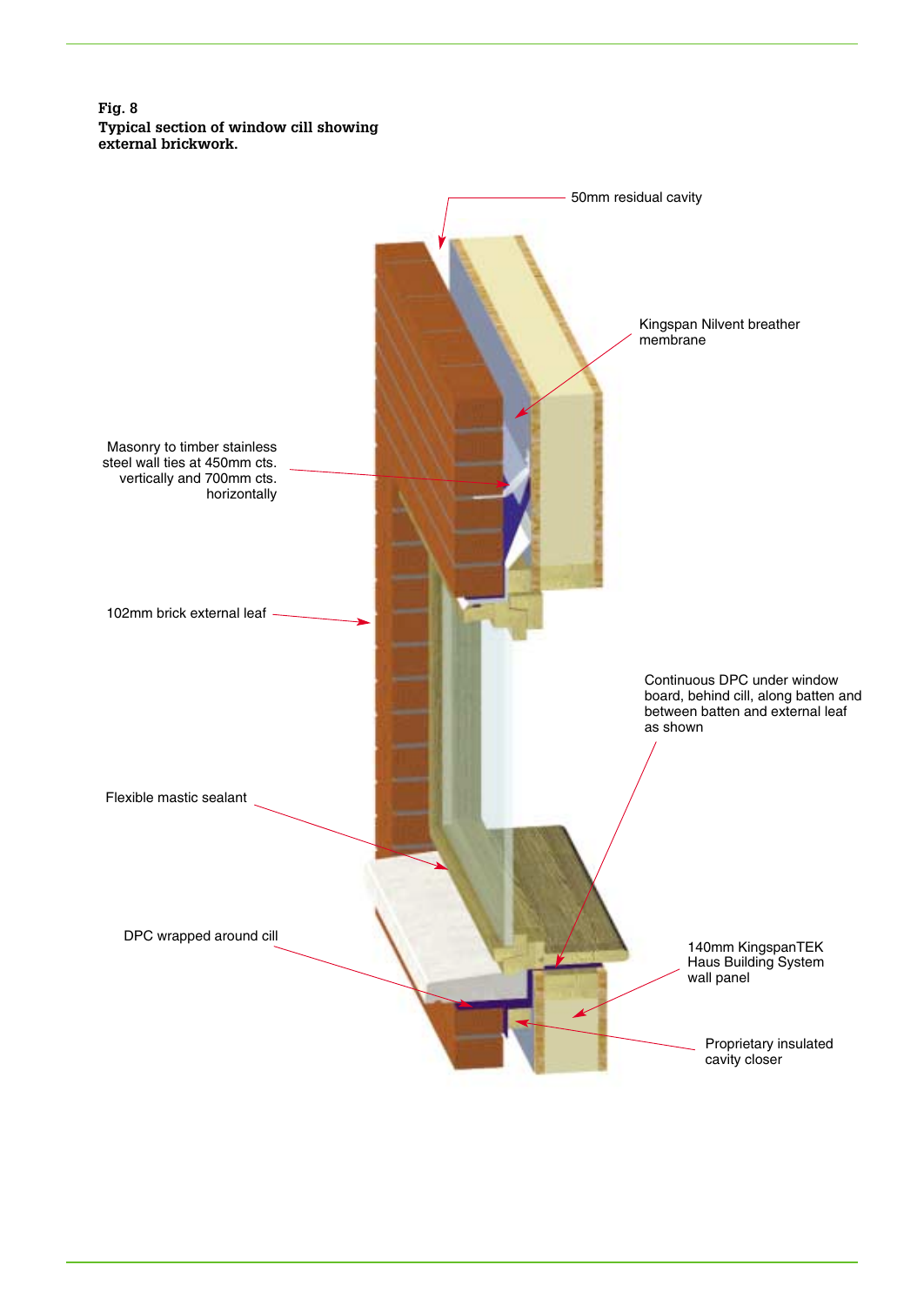**Fig. 8 Typical section of window cill showing external brickwork.**

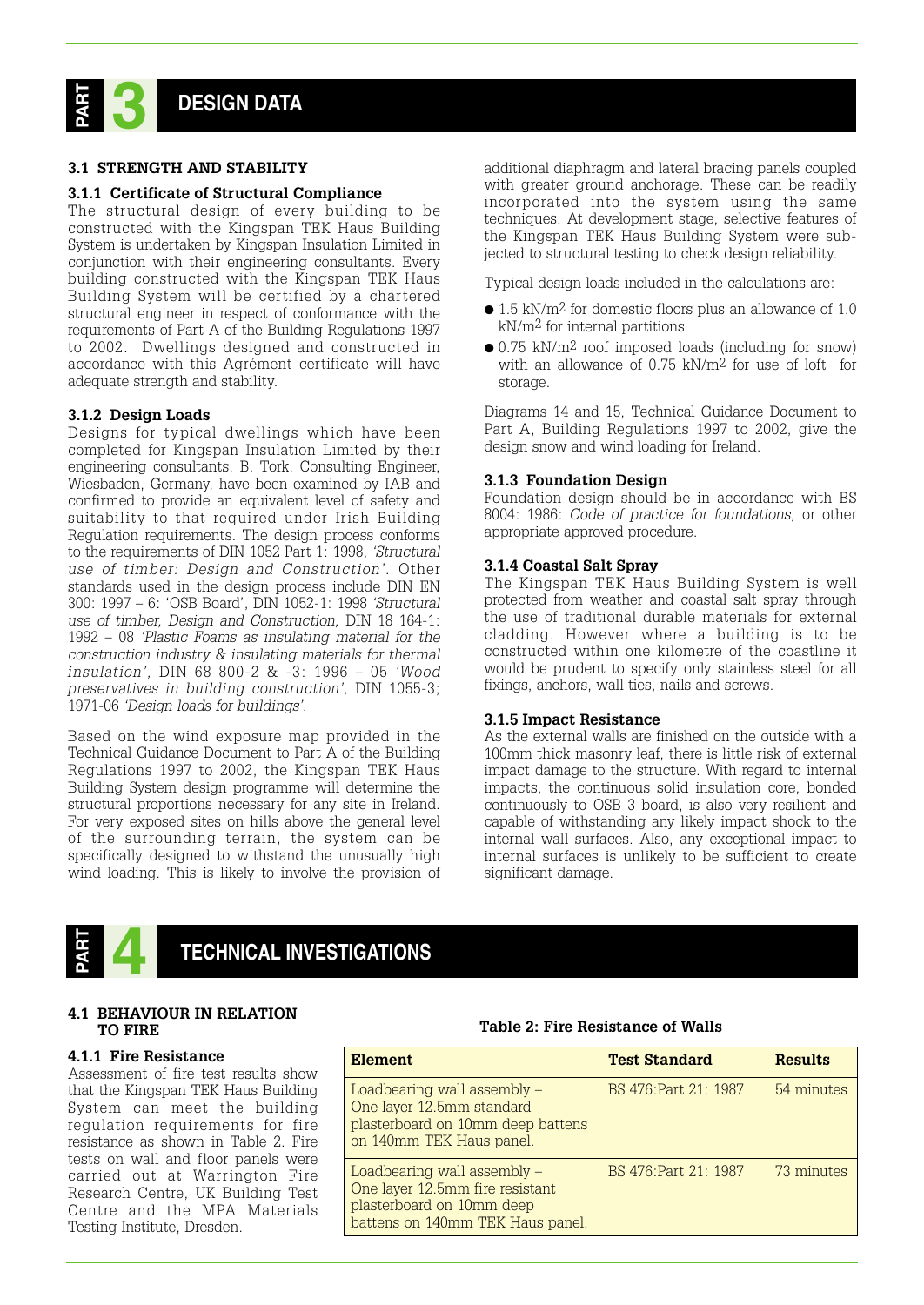

#### **3.1 STRENGTH AND STABILITY**

#### **3.1.1 Certificate of Structural Compliance**

The structural design of every building to be constructed with the Kingspan TEK Haus Building System is undertaken by Kingspan Insulation Limited in conjunction with their engineering consultants. Every building constructed with the Kingspan TEK Haus Building System will be certified by a chartered structural engineer in respect of conformance with the requirements of Part A of the Building Regulations 1997 to 2002. Dwellings designed and constructed in accordance with this Agrément certificate will have adequate strength and stability.

#### **3.1.2 Design Loads**

Designs for typical dwellings which have been completed for Kingspan Insulation Limited by their engineering consultants, B. Tork, Consulting Engineer, Wiesbaden, Germany, have been examined by IAB and confirmed to provide an equivalent level of safety and suitability to that required under Irish Building Regulation requirements. The design process conforms to the requirements of DIN 1052 Part 1: 1998, *'Structural use of timber: Design and Construction'.* Other standards used in the design process include DIN EN 300: 1997 – 6: 'OSB Board', DIN 1052-1: 1998 *'Structural use of timber, Design and Construction,* DIN 18 164-1: 1992 – 08 *'Plastic Foams as insulating material for the construction industry & insulating materials for thermal insulation',* DIN 68 800-2 & -3: 1996 – 05 *'Wood preservatives in building construction',* DIN 1055-3; 1971-06 *'Design loads for buildings'.* 

Based on the wind exposure map provided in the Technical Guidance Document to Part A of the Building Regulations 1997 to 2002, the Kingspan TEK Haus Building System design programme will determine the structural proportions necessary for any site in Ireland. For very exposed sites on hills above the general level of the surrounding terrain, the system can be specifically designed to withstand the unusually high wind loading. This is likely to involve the provision of additional diaphragm and lateral bracing panels coupled with greater ground anchorage. These can be readily incorporated into the system using the same techniques. At development stage, selective features of the Kingspan TEK Haus Building System were subjected to structural testing to check design reliability.

Typical design loads included in the calculations are:

- $\bullet$  1.5 kN/m<sup>2</sup> for domestic floors plus an allowance of 1.0 kN/m2 for internal partitions
- 0.75 kN/m<sup>2</sup> roof imposed loads (including for snow) with an allowance of 0.75 kN/m2 for use of loft for storage.

Diagrams 14 and 15, Technical Guidance Document to Part A, Building Regulations 1997 to 2002, give the design snow and wind loading for Ireland.

#### **3.1.3 Foundation Design**

Foundation design should be in accordance with BS 8004: 1986: *Code of practice for foundations,* or other appropriate approved procedure.

#### **3.1.4 Coastal Salt Spray**

The Kingspan TEK Haus Building System is well protected from weather and coastal salt spray through the use of traditional durable materials for external cladding. However where a building is to be constructed within one kilometre of the coastline it would be prudent to specify only stainless steel for all fixings, anchors, wall ties, nails and screws.

#### **3.1.5 Impact Resistance**

As the external walls are finished on the outside with a 100mm thick masonry leaf, there is little risk of external impact damage to the structure. With regard to internal impacts, the continuous solid insulation core, bonded continuously to OSB 3 board, is also very resilient and capable of withstanding any likely impact shock to the internal wall surfaces. Also, any exceptional impact to internal surfaces is unlikely to be sufficient to create significant damage.



# **4 TECHNICAL INVESTIGATIONS**

#### **4.1 BEHAVIOUR IN RELATION TO FIRE**

#### **4.1.1 Fire Resistance**

Assessment of fire test results show that the Kingspan TEK Haus Building System can meet the building regulation requirements for fire resistance as shown in Table 2. Fire tests on wall and floor panels were carried out at Warrington Fire Research Centre, UK Building Test Centre and the MPA Materials Testing Institute, Dresden.

| Element                                                                                                                         | <b>Test Standard</b>  | <b>Results</b> |
|---------------------------------------------------------------------------------------------------------------------------------|-----------------------|----------------|
| Loadbearing wall assembly –<br>One layer 12.5mm standard<br>plasterboard on 10mm deep battens<br>on 140mm TEK Haus panel.       | BS 476 Part 21: 1987  | 54 minutes     |
| Loadbearing wall assembly –<br>One layer 12.5mm fire resistant<br>plasterboard on 10mm deep<br>battens on 140mm TEK Haus panel. | BS 476. Part 21: 1987 | 73 minutes     |
|                                                                                                                                 |                       |                |

#### **Table 2: Fire Resistance of Walls**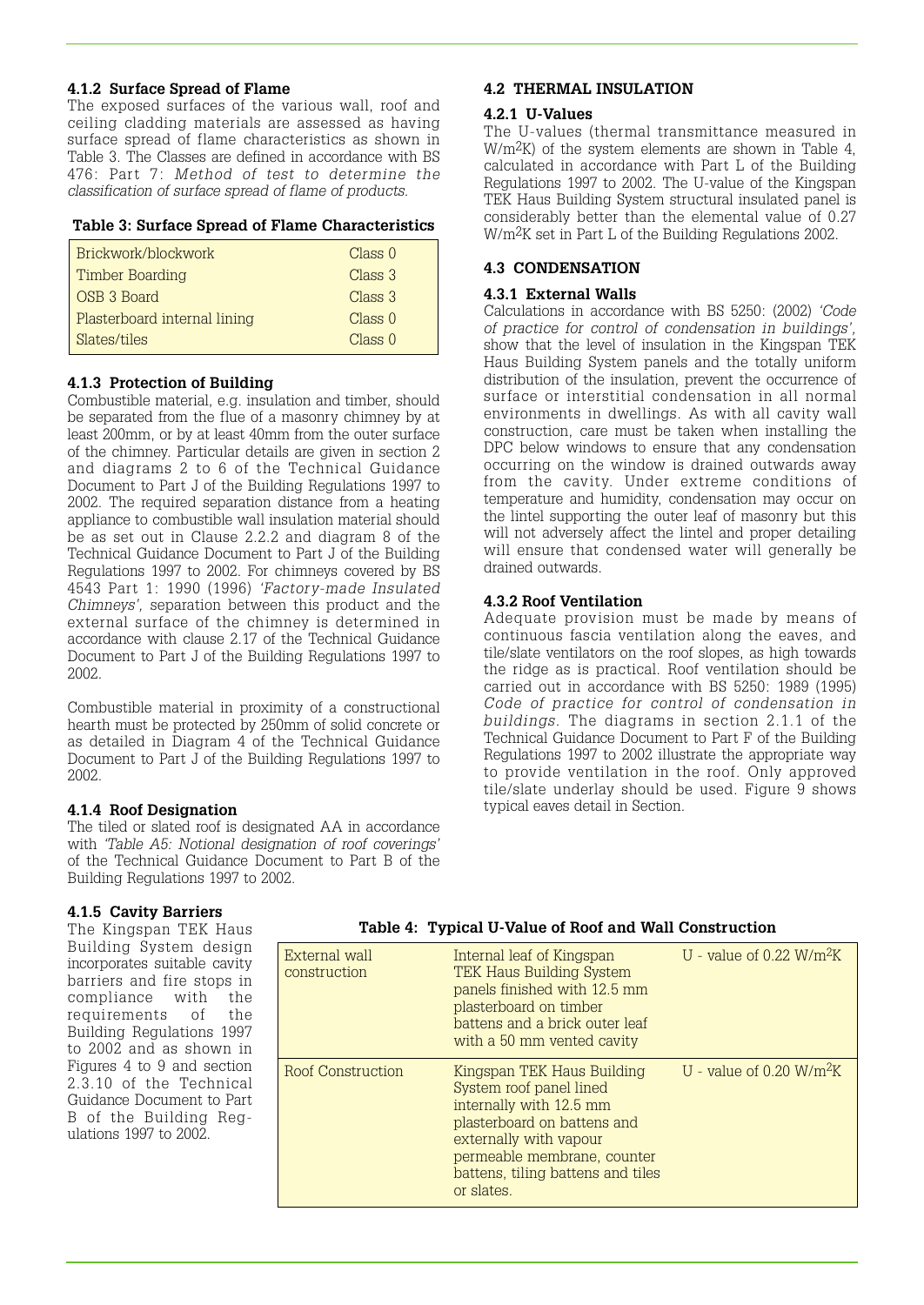#### **4.1.2 Surface Spread of Flame**

The exposed surfaces of the various wall, roof and ceiling cladding materials are assessed as having surface spread of flame characteristics as shown in Table 3. The Classes are defined in accordance with BS 476: Part 7: *Method of test to determine the classification of surface spread of flame of products.*

#### **Table 3: Surface Spread of Flame Characteristics**

| Brickwork/blockwork          | Class 0            |
|------------------------------|--------------------|
| Timber Boarding              | Class 3            |
| OSB 3 Board                  | Class 3            |
| Plasterboard internal lining | Class 0            |
| Slates/tiles                 | Class <sub>0</sub> |
|                              |                    |

# **4.1.3 Protection of Building**

Combustible material, e.g. insulation and timber, should be separated from the flue of a masonry chimney by at least 200mm, or by at least 40mm from the outer surface of the chimney. Particular details are given in section 2 and diagrams 2 to 6 of the Technical Guidance Document to Part J of the Building Regulations 1997 to 2002. The required separation distance from a heating appliance to combustible wall insulation material should be as set out in Clause 2.2.2 and diagram 8 of the Technical Guidance Document to Part J of the Building Regulations 1997 to 2002. For chimneys covered by BS 4543 Part 1: 1990 (1996) *'Factory-made Insulated Chimneys',* separation between this product and the external surface of the chimney is determined in accordance with clause 2.17 of the Technical Guidance Document to Part J of the Building Regulations 1997 to 2002.

Combustible material in proximity of a constructional hearth must be protected by 250mm of solid concrete or as detailed in Diagram 4 of the Technical Guidance Document to Part J of the Building Regulations 1997 to 2002.

#### **4.1.4 Roof Designation**

The tiled or slated roof is designated AA in accordance with *'Table A5: Notional designation of roof coverings'* of the Technical Guidance Document to Part B of the Building Regulations 1997 to 2002.

#### **4.2 THERMAL INSULATION**

#### **4.2.1 U-Values**

The U-values (thermal transmittance measured in W/m2K) of the system elements are shown in Table 4, calculated in accordance with Part L of the Building Regulations 1997 to 2002. The U-value of the Kingspan TEK Haus Building System structural insulated panel is considerably better than the elemental value of 0.27 W/m2K set in Part L of the Building Regulations 2002.

#### **4.3 CONDENSATION**

#### **4.3.1 External Walls**

Calculations in accordance with BS 5250: (2002) *'Code of practice for control of condensation in buildings',* show that the level of insulation in the Kingspan TEK Haus Building System panels and the totally uniform distribution of the insulation, prevent the occurrence of surface or interstitial condensation in all normal environments in dwellings. As with all cavity wall construction, care must be taken when installing the DPC below windows to ensure that any condensation occurring on the window is drained outwards away from the cavity. Under extreme conditions of temperature and humidity, condensation may occur on the lintel supporting the outer leaf of masonry but this will not adversely affect the lintel and proper detailing will ensure that condensed water will generally be drained outwards.

#### **4.3.2 Roof Ventilation**

Adequate provision must be made by means of continuous fascia ventilation along the eaves, and tile/slate ventilators on the roof slopes, as high towards the ridge as is practical. Roof ventilation should be carried out in accordance with BS 5250: 1989 (1995) *Code of practice for control of condensation in buildings.* The diagrams in section 2.1.1 of the Technical Guidance Document to Part F of the Building Regulations 1997 to 2002 illustrate the appropriate way to provide ventilation in the roof. Only approved tile/slate underlay should be used. Figure 9 shows typical eaves detail in Section.

#### **4.1.5 Cavity Barriers**

The Kingspan TEK Haus Building System design incorporates suitable cavity barriers and fire stops in compliance with the<br>requirements of the requirements Building Regulations 1997 to 2002 and as shown in Figures 4 to 9 and section 2.3.10 of the Technical Guidance Document to Part B of the Building Regulations 1997 to 2002.

| Table 4: Typical U-Value of Roof and Wall Construction |  |
|--------------------------------------------------------|--|
|--------------------------------------------------------|--|

| External wall<br>construction | Internal leaf of Kingspan<br><b>TEK Haus Building System</b><br>panels finished with 12.5 mm<br>plasterboard on timber<br>battens and a brick outer leaf<br>with a 50 mm vented cavity                                      | U - value of $0.22 \text{ W/m}^2\text{K}$ |
|-------------------------------|-----------------------------------------------------------------------------------------------------------------------------------------------------------------------------------------------------------------------------|-------------------------------------------|
| Roof Construction             | Kingspan TEK Haus Building<br>System roof panel lined<br>internally with 12.5 mm<br>plasterboard on battens and<br>externally with vapour<br>permeable membrane, counter<br>battens, tiling battens and tiles<br>or slates. | U - value of $0.20 \text{ W/m}^2\text{K}$ |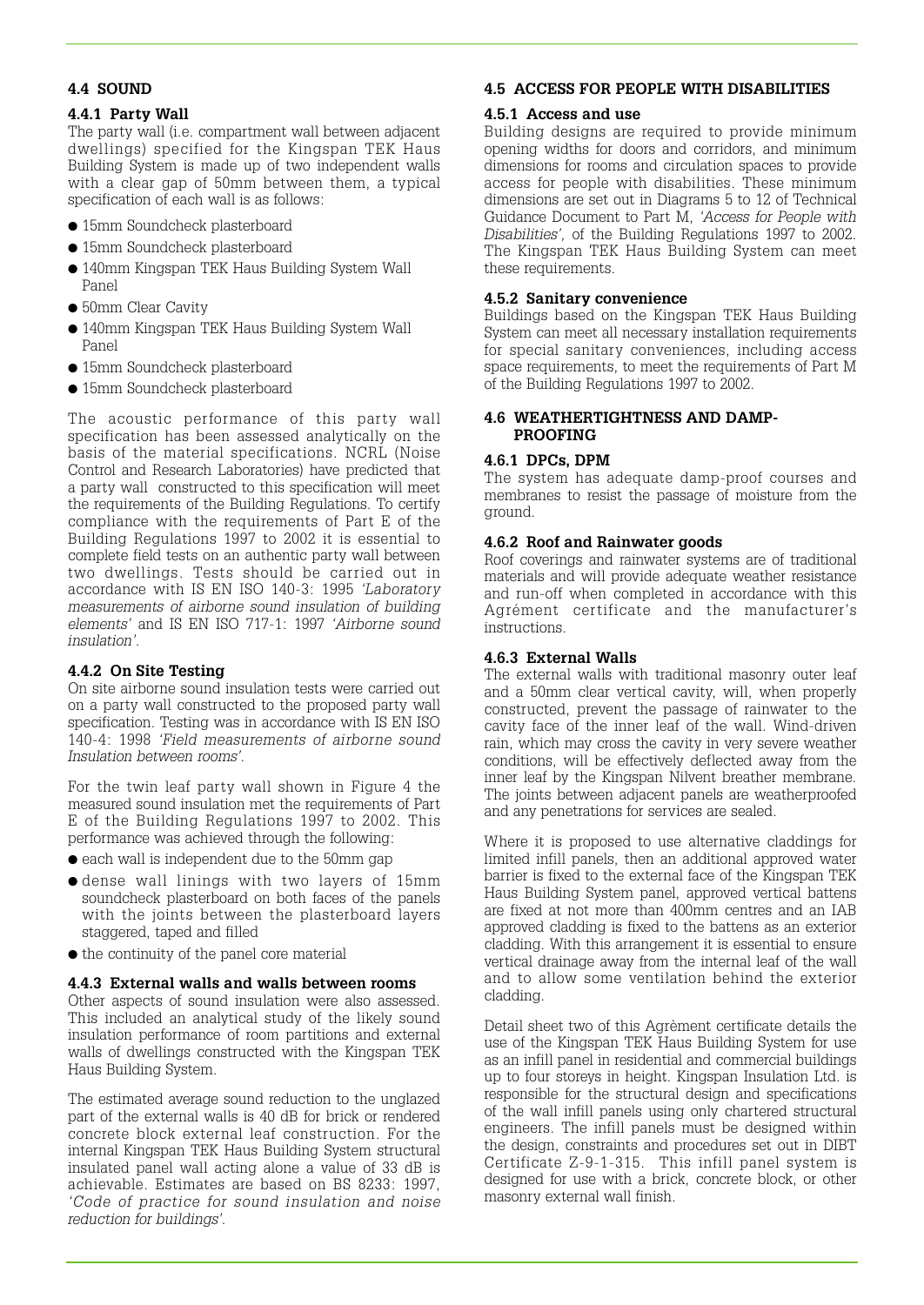#### **4.4 SOUND**

# **4.4.1 Party Wall**

The party wall (i.e. compartment wall between adjacent dwellings) specified for the Kingspan TEK Haus Building System is made up of two independent walls with a clear gap of 50mm between them, a typical specification of each wall is as follows:

- 15mm Soundcheck plasterboard
- 15mm Soundcheck plasterboard
- 140mm Kingspan TEK Haus Building System Wall Panel
- 50mm Clear Cavity
- 140mm Kingspan TEK Haus Building System Wall Panel
- 15mm Soundcheck plasterboard
- 15mm Soundcheck plasterboard

The acoustic performance of this party wall specification has been assessed analytically on the basis of the material specifications. NCRL (Noise Control and Research Laboratories) have predicted that a party wall constructed to this specification will meet the requirements of the Building Regulations. To certify compliance with the requirements of Part E of the Building Regulations 1997 to 2002 it is essential to complete field tests on an authentic party wall between two dwellings. Tests should be carried out in accordance with IS EN ISO 140-3: 1995 *'Laboratory measurements of airborne sound insulation of building elements'* and IS EN ISO 717-1: 1997 *'Airborne sound insulation'.* 

# **4.4.2 On Site Testing**

On site airborne sound insulation tests were carried out on a party wall constructed to the proposed party wall specification. Testing was in accordance with IS EN ISO 140-4: 1998 *'Field measurements of airborne sound Insulation between rooms'.*

For the twin leaf party wall shown in Figure 4 the measured sound insulation met the requirements of Part E of the Building Regulations 1997 to 2002. This performance was achieved through the following:

- each wall is independent due to the 50mm gap
- dense wall linings with two layers of 15mm soundcheck plasterboard on both faces of the panels with the joints between the plasterboard layers staggered, taped and filled
- $\bullet$  the continuity of the panel core material

#### **4.4.3 External walls and walls between rooms**

Other aspects of sound insulation were also assessed. This included an analytical study of the likely sound insulation performance of room partitions and external walls of dwellings constructed with the Kingspan TEK Haus Building System.

The estimated average sound reduction to the unglazed part of the external walls is 40 dB for brick or rendered concrete block external leaf construction. For the internal Kingspan TEK Haus Building System structural insulated panel wall acting alone a value of 33 dB is achievable. Estimates are based on BS 8233: 1997, *'Code of practice for sound insulation and noise reduction for buildings'.* 

# **4.5 ACCESS FOR PEOPLE WITH DISABILITIES**

# **4.5.1 Access and use**

Building designs are required to provide minimum opening widths for doors and corridors, and minimum dimensions for rooms and circulation spaces to provide access for people with disabilities. These minimum dimensions are set out in Diagrams 5 to 12 of Technical Guidance Document to Part M, *'Access for People with Disabilities',* of the Building Regulations 1997 to 2002. The Kingspan TEK Haus Building System can meet these requirements.

# **4.5.2 Sanitary convenience**

Buildings based on the Kingspan TEK Haus Building System can meet all necessary installation requirements for special sanitary conveniences, including access space requirements, to meet the requirements of Part M of the Building Regulations 1997 to 2002.

### **4.6 WEATHERTIGHTNESS AND DAMP-PROOFING**

# **4.6.1 DPCs, DPM**

The system has adequate damp-proof courses and membranes to resist the passage of moisture from the ground.

# **4.6.2 Roof and Rainwater goods**

Roof coverings and rainwater systems are of traditional materials and will provide adequate weather resistance and run-off when completed in accordance with this Agrément certificate and the manufacturer's instructions.

# **4.6.3 External Walls**

The external walls with traditional masonry outer leaf and a 50mm clear vertical cavity, will, when properly constructed, prevent the passage of rainwater to the cavity face of the inner leaf of the wall. Wind-driven rain, which may cross the cavity in very severe weather conditions, will be effectively deflected away from the inner leaf by the Kingspan Nilvent breather membrane. The joints between adjacent panels are weatherproofed and any penetrations for services are sealed.

Where it is proposed to use alternative claddings for limited infill panels, then an additional approved water barrier is fixed to the external face of the Kingspan TEK Haus Building System panel, approved vertical battens are fixed at not more than 400mm centres and an IAB approved cladding is fixed to the battens as an exterior cladding. With this arrangement it is essential to ensure vertical drainage away from the internal leaf of the wall and to allow some ventilation behind the exterior cladding.

Detail sheet two of this Agrèment certificate details the use of the Kingspan TEK Haus Building System for use as an infill panel in residential and commercial buildings up to four storeys in height. Kingspan Insulation Ltd. is responsible for the structural design and specifications of the wall infill panels using only chartered structural engineers. The infill panels must be designed within the design, constraints and procedures set out in DIBT Certificate Z-9-1-315. This infill panel system is designed for use with a brick, concrete block, or other masonry external wall finish.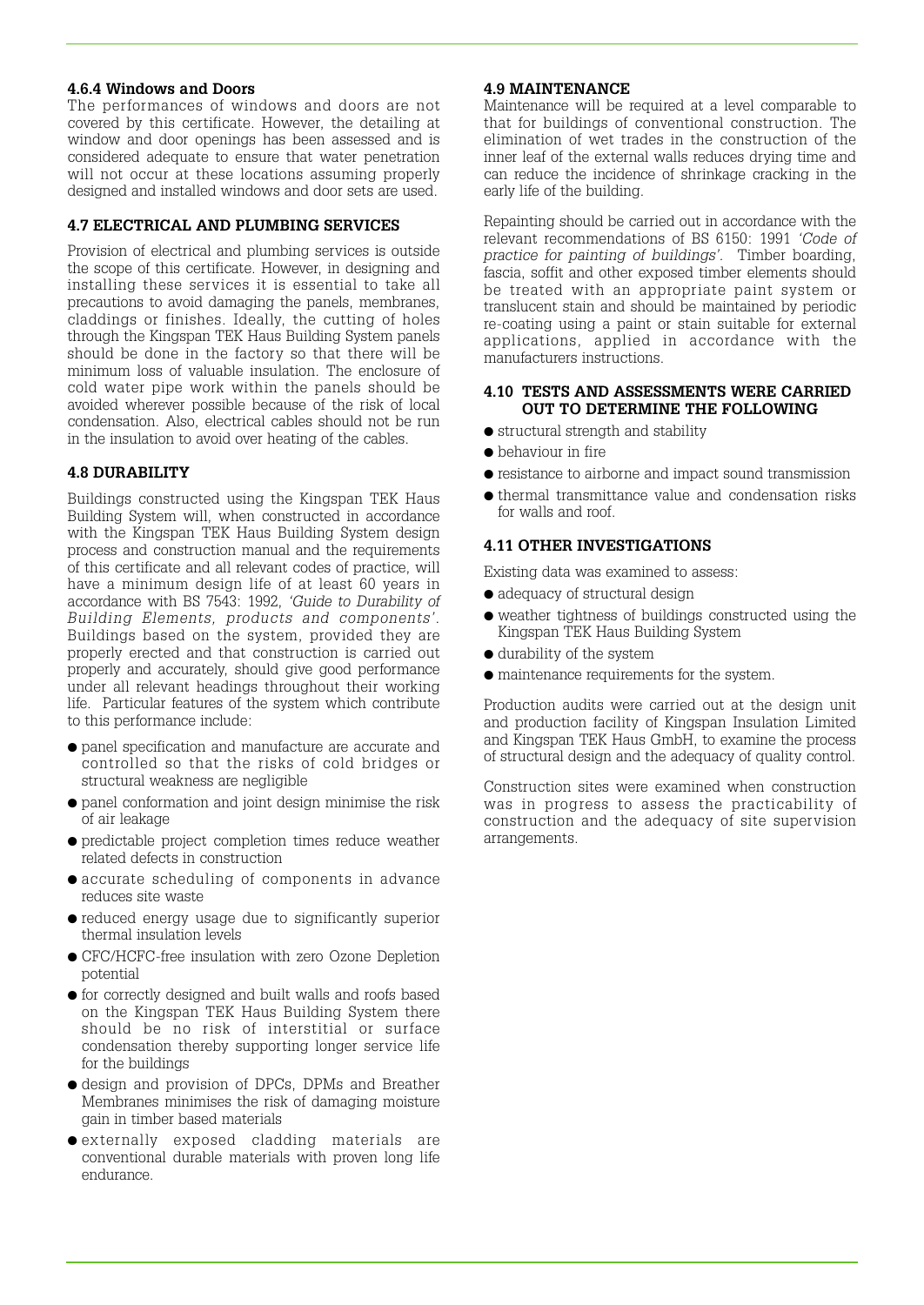#### **4.6.4 Windows and Doors**

The performances of windows and doors are not covered by this certificate. However, the detailing at window and door openings has been assessed and is considered adequate to ensure that water penetration will not occur at these locations assuming properly designed and installed windows and door sets are used.

#### **4.7 ELECTRICAL AND PLUMBING SERVICES**

Provision of electrical and plumbing services is outside the scope of this certificate. However, in designing and installing these services it is essential to take all precautions to avoid damaging the panels, membranes, claddings or finishes. Ideally, the cutting of holes through the Kingspan TEK Haus Building System panels should be done in the factory so that there will be minimum loss of valuable insulation. The enclosure of cold water pipe work within the panels should be avoided wherever possible because of the risk of local condensation. Also, electrical cables should not be run in the insulation to avoid over heating of the cables.

#### **4.8 DURABILITY**

Buildings constructed using the Kingspan TEK Haus Building System will, when constructed in accordance with the Kingspan TEK Haus Building System design process and construction manual and the requirements of this certificate and all relevant codes of practice, will have a minimum design life of at least 60 years in accordance with BS 7543: 1992, *'Guide to Durability of Building Elements, products and components'.* Buildings based on the system, provided they are properly erected and that construction is carried out properly and accurately, should give good performance under all relevant headings throughout their working life. Particular features of the system which contribute to this performance include:

- panel specification and manufacture are accurate and controlled so that the risks of cold bridges or structural weakness are negligible
- panel conformation and joint design minimise the risk of air leakage
- predictable project completion times reduce weather related defects in construction
- accurate scheduling of components in advance reduces site waste
- reduced energy usage due to significantly superior thermal insulation levels
- CFC/HCFC-free insulation with zero Ozone Depletion potential
- for correctly designed and built walls and roofs based on the Kingspan TEK Haus Building System there should be no risk of interstitial or surface condensation thereby supporting longer service life for the buildings
- design and provision of DPCs, DPMs and Breather Membranes minimises the risk of damaging moisture gain in timber based materials
- externally exposed cladding materials are conventional durable materials with proven long life endurance.

#### **4.9 MAINTENANCE**

Maintenance will be required at a level comparable to that for buildings of conventional construction. The elimination of wet trades in the construction of the inner leaf of the external walls reduces drying time and can reduce the incidence of shrinkage cracking in the early life of the building.

Repainting should be carried out in accordance with the relevant recommendations of BS 6150: 1991 *'Code of practice for painting of buildings'.* Timber boarding, fascia, soffit and other exposed timber elements should be treated with an appropriate paint system or translucent stain and should be maintained by periodic re-coating using a paint or stain suitable for external applications, applied in accordance with the manufacturers instructions.

#### **4.10 TESTS AND ASSESSMENTS WERE CARRIED OUT TO DETERMINE THE FOLLOWING**

- structural strength and stability
- behaviour in fire
- resistance to airborne and impact sound transmission
- thermal transmittance value and condensation risks for walls and roof.

#### **4.11 OTHER INVESTIGATIONS**

Existing data was examined to assess:

- $\bullet$  adequacy of structural design
- weather tightness of buildings constructed using the Kingspan TEK Haus Building System
- durability of the system
- maintenance requirements for the system.

Production audits were carried out at the design unit and production facility of Kingspan Insulation Limited and Kingspan TEK Haus GmbH, to examine the process of structural design and the adequacy of quality control.

Construction sites were examined when construction was in progress to assess the practicability of construction and the adequacy of site supervision arrangements.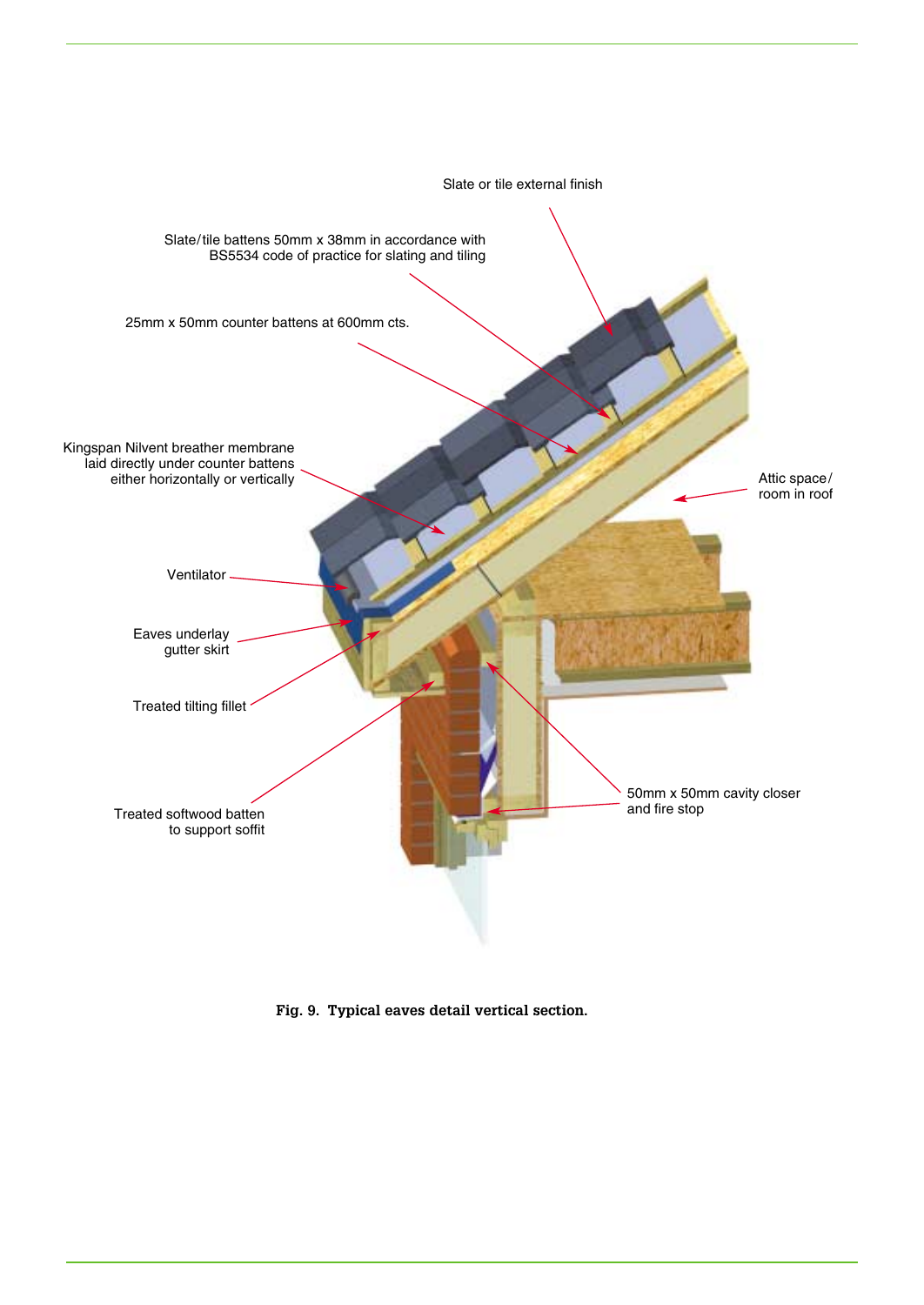

**Fig. 9. Typical eaves detail vertical section.**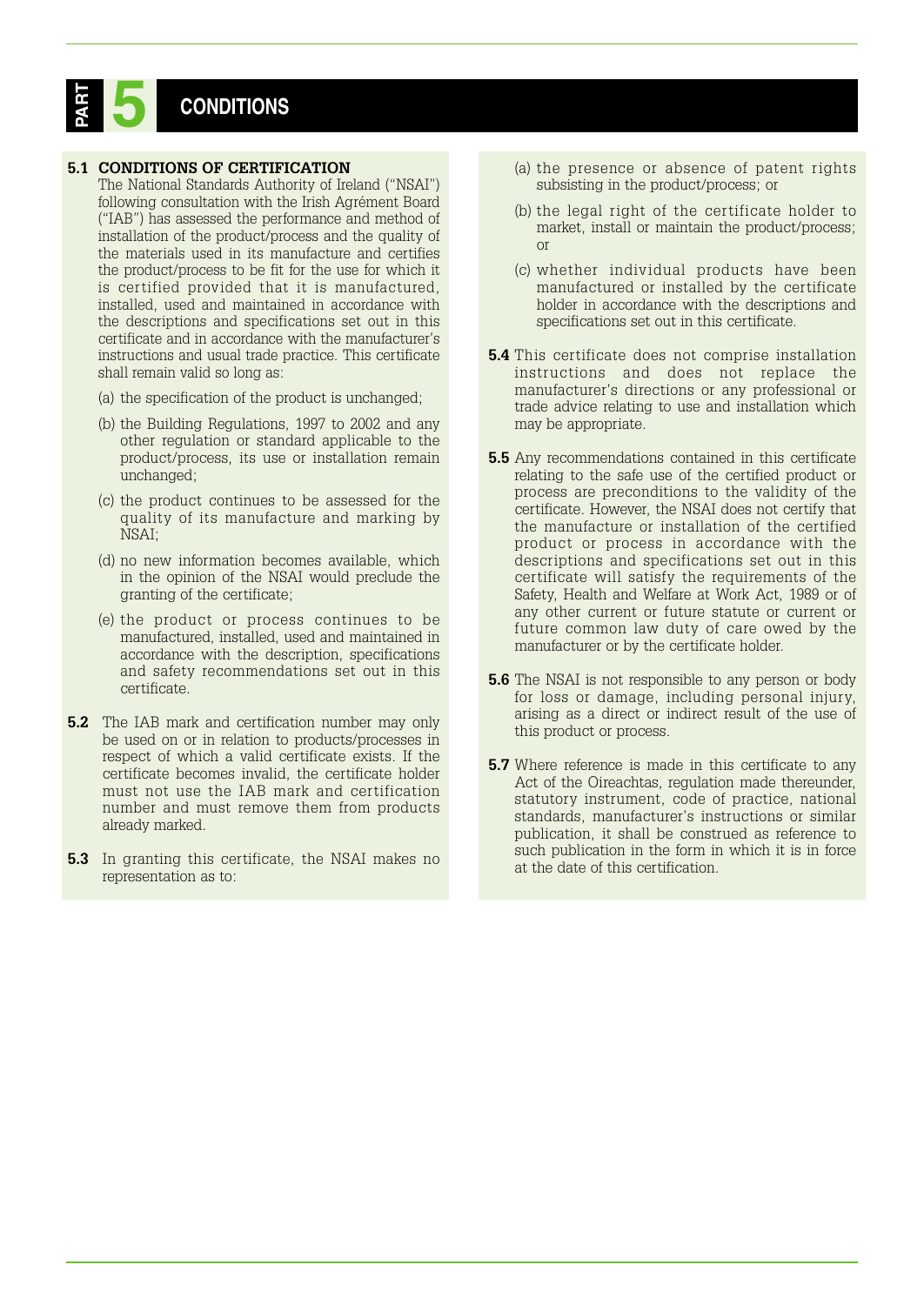# **CONDITIONS PART 5**

#### **5.1 CONDITIONS OF CERTIFICATION**

- The National Standards Authority of Ireland ("NSAI") following consultation with the Irish Agrément Board ("IAB") has assessed the performance and method of installation of the product/process and the quality of the materials used in its manufacture and certifies the product/process to be fit for the use for which it is certified provided that it is manufactured, installed, used and maintained in accordance with the descriptions and specifications set out in this certificate and in accordance with the manufacturer's instructions and usual trade practice. This certificate shall remain valid so long as:
- (a) the specification of the product is unchanged;
- (b) the Building Regulations, 1997 to 2002 and any other regulation or standard applicable to the product/process, its use or installation remain unchanged;
- (c) the product continues to be assessed for the quality of its manufacture and marking by NSAI;
- (d) no new information becomes available, which in the opinion of the NSAI would preclude the granting of the certificate;
- (e) the product or process continues to be manufactured, installed, used and maintained in accordance with the description, specifications and safety recommendations set out in this certificate.
- **5.2** The IAB mark and certification number may only be used on or in relation to products/processes in respect of which a valid certificate exists. If the certificate becomes invalid, the certificate holder must not use the IAB mark and certification number and must remove them from products already marked.
- **5.3** In granting this certificate, the NSAI makes no representation as to:
- (a) the presence or absence of patent rights subsisting in the product/process; or
- (b) the legal right of the certificate holder to market, install or maintain the product/process; or
- (c) whether individual products have been manufactured or installed by the certificate holder in accordance with the descriptions and specifications set out in this certificate.
- **5.4** This certificate does not comprise installation instructions and does not replace the manufacturer's directions or any professional or trade advice relating to use and installation which may be appropriate.
- **5.5** Any recommendations contained in this certificate relating to the safe use of the certified product or process are preconditions to the validity of the certificate. However, the NSAI does not certify that the manufacture or installation of the certified product or process in accordance with the descriptions and specifications set out in this certificate will satisfy the requirements of the Safety, Health and Welfare at Work Act, 1989 or of any other current or future statute or current or future common law duty of care owed by the manufacturer or by the certificate holder.
- **5.6** The NSAI is not responsible to any person or body for loss or damage, including personal injury, arising as a direct or indirect result of the use of this product or process.
- **5.7** Where reference is made in this certificate to any Act of the Oireachtas, regulation made thereunder, statutory instrument, code of practice, national standards, manufacturer's instructions or similar publication, it shall be construed as reference to such publication in the form in which it is in force at the date of this certification.